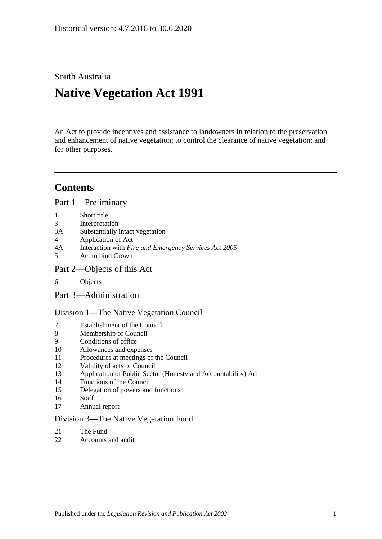South Australia

# **Native Vegetation Act 1991**

An Act to provide incentives and assistance to landowners in relation to the preservation and enhancement of native vegetation; to control the clearance of native vegetation; and for other purposes.

## **Contents**

[Part 1—Preliminary](#page-2-0)

- 1 [Short title](#page-2-1)
- 3 [Interpretation](#page-2-2)
- 3A [Substantially intact vegetation](#page-5-0)
- 4 [Application of Act](#page-5-1)
- 4A Interaction with *[Fire and Emergency Services Act](#page-7-0) 2005*
- 5 [Act to bind Crown](#page-7-1)
- [Part 2—Objects of this Act](#page-7-2)
- 6 [Objects](#page-7-3)
- [Part 3—Administration](#page-7-4)

[Division 1—The Native Vegetation Council](#page-7-5)

- 7 [Establishment of the Council](#page-7-6)
- 8 [Membership of Council](#page-8-0)
- 9 [Conditions of office](#page-8-1)
- 10 [Allowances and expenses](#page-9-0)
- 11 [Procedures at meetings of the Council](#page-9-1)
- 12 [Validity of acts of Council](#page-9-2)
- 13 [Application of Public Sector \(Honesty and Accountability\) Act](#page-9-3)
- 14 [Functions of the Council](#page-10-0)
- 15 [Delegation of powers and functions](#page-11-0)
- 16 [Staff](#page-12-0)
- 17 [Annual report](#page-12-1)

#### [Division 3—The Native Vegetation Fund](#page-12-2)

- 21 [The Fund](#page-12-3)
- 22 [Accounts and audit](#page-14-0)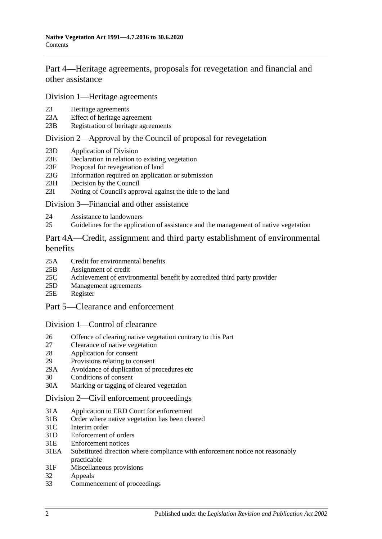[Part 4—Heritage agreements, proposals for revegetation and financial and](#page-14-1)  [other assistance](#page-14-1)

[Division 1—Heritage agreements](#page-14-2)

- 23 [Heritage agreements](#page-14-3)
- 23A [Effect of heritage agreement](#page-15-0)
- 23B [Registration of heritage agreements](#page-15-1)

## [Division 2—Approval by the Council of proposal for revegetation](#page-16-0)

- 23D [Application of Division](#page-16-1)
- 23E [Declaration in relation to existing vegetation](#page-16-2)
- 23F [Proposal for revegetation of land](#page-16-3)
- 23G [Information required on application or submission](#page-16-4)
- 23H [Decision by the Council](#page-16-5)
- 23I [Noting of Council's approval against the title to the land](#page-17-0)

#### [Division 3—Financial and other assistance](#page-17-1)

- 24 [Assistance to landowners](#page-17-2)
- 25 [Guidelines for the application of assistance and the management of native vegetation](#page-18-0)

### [Part 4A—Credit, assignment and third party establishment of environmental](#page-19-0)  [benefits](#page-19-0)

- 25A [Credit for environmental benefits](#page-19-1)
- 25B [Assignment of credit](#page-20-0)
- 25C [Achievement of environmental benefit by accredited third party provider](#page-21-0)
- 25D [Management agreements](#page-22-0)
- 25E [Register](#page-23-0)
- [Part 5—Clearance and enforcement](#page-23-1)

#### [Division 1—Control of clearance](#page-23-2)

- 26 [Offence of clearing native vegetation contrary to this Part](#page-23-3)
- 27 [Clearance of native vegetation](#page-25-0)
- 28 [Application for consent](#page-26-0)
- 29 [Provisions relating to consent](#page-28-0)
- 29A [Avoidance of duplication of procedures etc](#page-32-0)
- 30 [Conditions of consent](#page-33-0)
- 30A [Marking or tagging of cleared vegetation](#page-34-0)

#### [Division 2—Civil enforcement proceedings](#page-34-1)

- 31A [Application to ERD Court for enforcement](#page-34-2)
- 31B [Order where native vegetation has been cleared](#page-36-0)
- 31C [Interim order](#page-38-0)
- 31D [Enforcement of orders](#page-38-1)
- 31E [Enforcement notices](#page-38-2)
- 31EA [Substituted direction where compliance with enforcement](#page-39-0) notice not reasonably [practicable](#page-39-0)
- 31F [Miscellaneous provisions](#page-40-0)
- 32 [Appeals](#page-41-0)
- 33 [Commencement of proceedings](#page-41-1)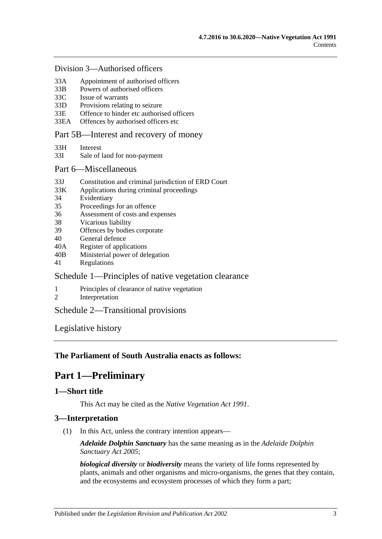#### [Division 3—Authorised officers](#page-41-2)

- 33A [Appointment of authorised officers](#page-41-3)
- 33B [Powers of authorised officers](#page-42-0)
- 33C [Issue of warrants](#page-44-0)
- 33D [Provisions relating to seizure](#page-45-0)
- 33E [Offence to hinder etc authorised officers](#page-46-0)
- 33EA [Offences by authorised officers etc](#page-47-0)

#### [Part 5B—Interest and recovery of money](#page-47-1)

- 33H [Interest](#page-47-2)
- 33I [Sale of land for non-payment](#page-47-3)

#### [Part 6—Miscellaneous](#page-49-0)

- 33J [Constitution and criminal jurisdiction of ERD Court](#page-49-1)
- 33K [Applications during criminal proceedings](#page-49-2)
- 34 [Evidentiary](#page-50-0)
- 35 [Proceedings for an offence](#page-51-0)
- 36 [Assessment of costs and expenses](#page-51-1)
- 38 [Vicarious liability](#page-51-2)
- 39 [Offences by bodies corporate](#page-51-3)
- 40 [General defence](#page-51-4)
- 40A [Register of applications](#page-51-5)
- 40B [Ministerial power of delegation](#page-52-0)
- 41 [Regulations](#page-52-1)

### [Schedule 1—Principles of native vegetation clearance](#page-53-0)

- 1 [Principles of clearance of native vegetation](#page-53-1)
- 2 [Interpretation](#page-54-0)

## [Schedule 2—Transitional provisions](#page-54-1)

[Legislative history](#page-56-0)

### <span id="page-2-0"></span>**The Parliament of South Australia enacts as follows:**

## **Part 1—Preliminary**

## <span id="page-2-1"></span>**1—Short title**

This Act may be cited as the *Native Vegetation Act 1991*.

### <span id="page-2-2"></span>**3—Interpretation**

(1) In this Act, unless the contrary intention appears—

*Adelaide Dolphin Sanctuary* has the same meaning as in the *[Adelaide Dolphin](http://www.legislation.sa.gov.au/index.aspx?action=legref&type=act&legtitle=Adelaide%20Dolphin%20Sanctuary%20Act%202005)  [Sanctuary Act](http://www.legislation.sa.gov.au/index.aspx?action=legref&type=act&legtitle=Adelaide%20Dolphin%20Sanctuary%20Act%202005) 2005*;

*biological diversity* or *biodiversity* means the variety of life forms represented by plants, animals and other organisms and micro-organisms, the genes that they contain, and the ecosystems and ecosystem processes of which they form a part;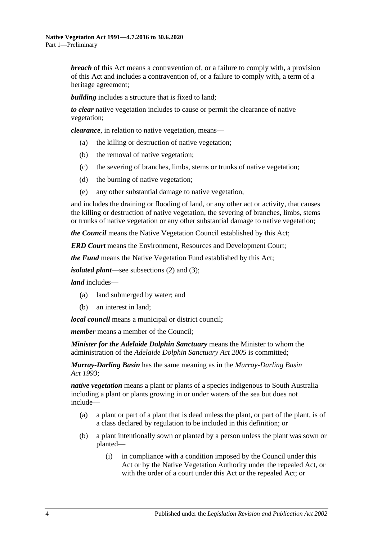*breach* of this Act means a contravention of, or a failure to comply with, a provision of this Act and includes a contravention of, or a failure to comply with, a term of a heritage agreement;

*building* includes a structure that is fixed to land:

*to clear* native vegetation includes to cause or permit the clearance of native vegetation;

*clearance*, in relation to native vegetation, means—

- (a) the killing or destruction of native vegetation;
- (b) the removal of native vegetation;
- (c) the severing of branches, limbs, stems or trunks of native vegetation;
- (d) the burning of native vegetation;
- (e) any other substantial damage to native vegetation,

and includes the draining or flooding of land, or any other act or activity, that causes the killing or destruction of native vegetation, the severing of branches, limbs, stems or trunks of native vegetation or any other substantial damage to native vegetation;

*the Council* means the Native Vegetation Council established by this Act;

*ERD Court* means the Environment, Resources and Development Court;

*the Fund* means the Native Vegetation Fund established by this Act;

*isolated plant*—see [subsections](#page-4-0) (2) and [\(3\);](#page-5-2)

*land* includes—

- (a) land submerged by water; and
- (b) an interest in land;

*local council* means a municipal or district council;

*member* means a member of the Council;

*Minister for the Adelaide Dolphin Sanctuary* means the Minister to whom the administration of the *[Adelaide Dolphin Sanctuary Act](http://www.legislation.sa.gov.au/index.aspx?action=legref&type=act&legtitle=Adelaide%20Dolphin%20Sanctuary%20Act%202005) 2005* is committed;

*Murray-Darling Basin* has the same meaning as in the *[Murray-Darling Basin](http://www.legislation.sa.gov.au/index.aspx?action=legref&type=act&legtitle=Murray-Darling%20Basin%20Act%201993)  Act [1993](http://www.legislation.sa.gov.au/index.aspx?action=legref&type=act&legtitle=Murray-Darling%20Basin%20Act%201993)*;

*native vegetation* means a plant or plants of a species indigenous to South Australia including a plant or plants growing in or under waters of the sea but does not include—

- (a) a plant or part of a plant that is dead unless the plant, or part of the plant, is of a class declared by regulation to be included in this definition; or
- (b) a plant intentionally sown or planted by a person unless the plant was sown or planted—
	- (i) in compliance with a condition imposed by the Council under this Act or by the Native Vegetation Authority under the repealed Act, or with the order of a court under this Act or the repealed Act; or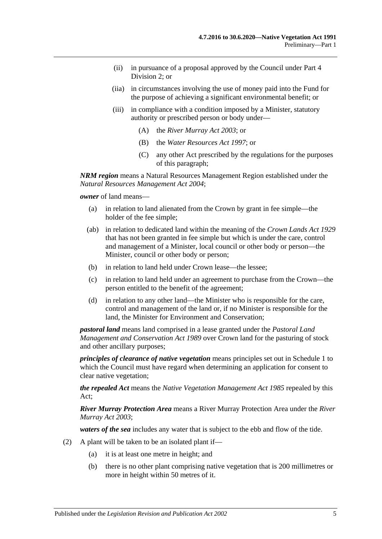- (ii) in pursuance of a proposal approved by the Council under [Part 4](#page-16-0)  [Division 2;](#page-16-0) or
- (iia) in circumstances involving the use of money paid into the Fund for the purpose of achieving a significant environmental benefit; or
- (iii) in compliance with a condition imposed by a Minister, statutory authority or prescribed person or body under—
	- (A) the *[River Murray Act](http://www.legislation.sa.gov.au/index.aspx?action=legref&type=act&legtitle=River%20Murray%20Act%202003) 2003*; or
	- (B) the *[Water Resources Act](http://www.legislation.sa.gov.au/index.aspx?action=legref&type=act&legtitle=Water%20Resources%20Act%201997) 1997*; or
	- (C) any other Act prescribed by the regulations for the purposes of this paragraph;

*NRM region* means a Natural Resources Management Region established under the *[Natural Resources Management Act](http://www.legislation.sa.gov.au/index.aspx?action=legref&type=act&legtitle=Natural%20Resources%20Management%20Act%202004) 2004*;

*owner* of land means—

- (a) in relation to land alienated from the Crown by grant in fee simple—the holder of the fee simple;
- (ab) in relation to dedicated land within the meaning of the *[Crown Lands Act](http://www.legislation.sa.gov.au/index.aspx?action=legref&type=act&legtitle=Crown%20Lands%20Act%201929) 1929* that has not been granted in fee simple but which is under the care, control and management of a Minister, local council or other body or person—the Minister, council or other body or person;
- (b) in relation to land held under Crown lease—the lessee;
- (c) in relation to land held under an agreement to purchase from the Crown—the person entitled to the benefit of the agreement;
- (d) in relation to any other land—the Minister who is responsible for the care, control and management of the land or, if no Minister is responsible for the land, the Minister for Environment and Conservation;

*pastoral land* means land comprised in a lease granted under the *[Pastoral Land](http://www.legislation.sa.gov.au/index.aspx?action=legref&type=act&legtitle=Pastoral%20Land%20Management%20and%20Conservation%20Act%201989)  [Management and Conservation Act](http://www.legislation.sa.gov.au/index.aspx?action=legref&type=act&legtitle=Pastoral%20Land%20Management%20and%20Conservation%20Act%201989) 1989* over Crown land for the pasturing of stock and other ancillary purposes;

*principles of clearance of native vegetation* means principles set out in [Schedule 1](#page-53-0) to which the Council must have regard when determining an application for consent to clear native vegetation;

*the repealed Act* means the *[Native Vegetation Management Act](http://www.legislation.sa.gov.au/index.aspx?action=legref&type=act&legtitle=Native%20Vegetation%20Management%20Act%201985) 1985* repealed by this Act;

*River Murray Protection Area* means a River Murray Protection Area under the *[River](http://www.legislation.sa.gov.au/index.aspx?action=legref&type=act&legtitle=River%20Murray%20Act%202003)  [Murray Act](http://www.legislation.sa.gov.au/index.aspx?action=legref&type=act&legtitle=River%20Murray%20Act%202003) 2003*;

*waters of the sea* includes any water that is subject to the ebb and flow of the tide.

- <span id="page-4-0"></span>(2) A plant will be taken to be an isolated plant if—
	- (a) it is at least one metre in height; and
	- (b) there is no other plant comprising native vegetation that is 200 millimetres or more in height within 50 metres of it.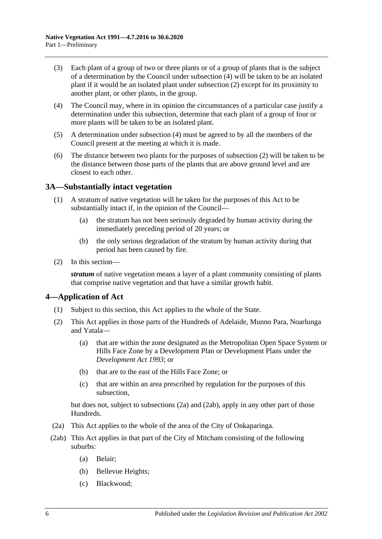- <span id="page-5-2"></span>(3) Each plant of a group of two or three plants or of a group of plants that is the subject of a determination by the Council under [subsection](#page-5-3) (4) will be taken to be an isolated plant if it would be an isolated plant under [subsection](#page-4-0) (2) except for its proximity to another plant, or other plants, in the group.
- <span id="page-5-3"></span>(4) The Council may, where in its opinion the circumstances of a particular case justify a determination under this subsection, determine that each plant of a group of four or more plants will be taken to be an isolated plant.
- (5) A determination under [subsection](#page-5-3) (4) must be agreed to by all the members of the Council present at the meeting at which it is made.
- (6) The distance between two plants for the purposes of [subsection](#page-4-0) (2) will be taken to be the distance between those parts of the plants that are above ground level and are closest to each other.

### <span id="page-5-0"></span>**3A—Substantially intact vegetation**

- (1) A stratum of native vegetation will be taken for the purposes of this Act to be substantially intact if, in the opinion of the Council—
	- (a) the stratum has not been seriously degraded by human activity during the immediately preceding period of 20 years; or
	- (b) the only serious degradation of the stratum by human activity during that period has been caused by fire.
- (2) In this section—

*stratum* of native vegetation means a layer of a plant community consisting of plants that comprise native vegetation and that have a similar growth habit.

### <span id="page-5-1"></span>**4—Application of Act**

- (1) Subject to this section, this Act applies to the whole of the State.
- <span id="page-5-6"></span>(2) This Act applies in those parts of the Hundreds of Adelaide, Munno Para, Noarlunga and Yatala—
	- (a) that are within the zone designated as the Metropolitan Open Space System or Hills Face Zone by a Development Plan or Development Plans under the *[Development Act](http://www.legislation.sa.gov.au/index.aspx?action=legref&type=act&legtitle=Development%20Act%201993) 1993*; or
	- (b) that are to the east of the Hills Face Zone; or
	- (c) that are within an area prescribed by regulation for the purposes of this subsection,

but does not, subject to [subsections](#page-5-4) (2a) and [\(2ab\),](#page-5-5) apply in any other part of those Hundreds.

- <span id="page-5-4"></span>(2a) This Act applies to the whole of the area of the City of Onkaparinga.
- <span id="page-5-5"></span>(2ab) This Act applies in that part of the City of Mitcham consisting of the following suburbs:
	- (a) Belair;
	- (b) Bellevue Heights;
	- (c) Blackwood;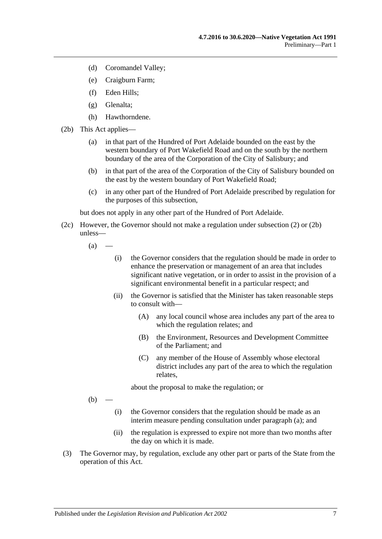- (d) Coromandel Valley;
- (e) Craigburn Farm;
- (f) Eden Hills;
- (g) Glenalta;
- (h) Hawthorndene.
- <span id="page-6-0"></span>(2b) This Act applies—
	- (a) in that part of the Hundred of Port Adelaide bounded on the east by the western boundary of Port Wakefield Road and on the south by the northern boundary of the area of the Corporation of the City of Salisbury; and
	- (b) in that part of the area of the Corporation of the City of Salisbury bounded on the east by the western boundary of Port Wakefield Road;
	- (c) in any other part of the Hundred of Port Adelaide prescribed by regulation for the purposes of this subsection,

but does not apply in any other part of the Hundred of Port Adelaide.

- <span id="page-6-1"></span>(2c) However, the Governor should not make a regulation under [subsection](#page-5-6) (2) or [\(2b\)](#page-6-0) unless—
	- $(a)$
- (i) the Governor considers that the regulation should be made in order to enhance the preservation or management of an area that includes significant native vegetation, or in order to assist in the provision of a significant environmental benefit in a particular respect; and
- (ii) the Governor is satisfied that the Minister has taken reasonable steps to consult with—
	- (A) any local council whose area includes any part of the area to which the regulation relates; and
	- (B) the Environment, Resources and Development Committee of the Parliament; and
	- (C) any member of the House of Assembly whose electoral district includes any part of the area to which the regulation relates,

about the proposal to make the regulation; or

 $(b)$ 

- (i) the Governor considers that the regulation should be made as an interim measure pending consultation under [paragraph](#page-6-1) (a); and
- (ii) the regulation is expressed to expire not more than two months after the day on which it is made.
- (3) The Governor may, by regulation, exclude any other part or parts of the State from the operation of this Act.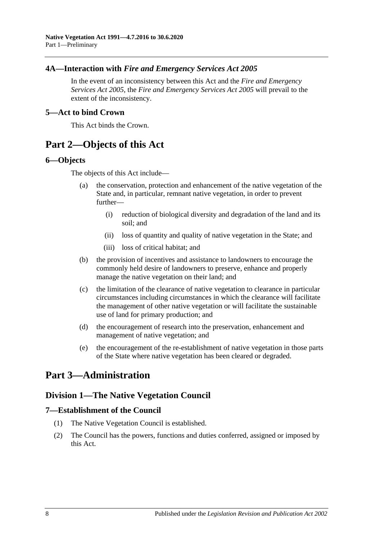## <span id="page-7-0"></span>**4A—Interaction with** *Fire and Emergency Services Act 2005*

In the event of an inconsistency between this Act and the *[Fire and Emergency](http://www.legislation.sa.gov.au/index.aspx?action=legref&type=act&legtitle=Fire%20and%20Emergency%20Services%20Act%202005)  [Services Act](http://www.legislation.sa.gov.au/index.aspx?action=legref&type=act&legtitle=Fire%20and%20Emergency%20Services%20Act%202005) 2005*, the *[Fire and Emergency Services Act](http://www.legislation.sa.gov.au/index.aspx?action=legref&type=act&legtitle=Fire%20and%20Emergency%20Services%20Act%202005) 2005* will prevail to the extent of the inconsistency.

#### <span id="page-7-1"></span>**5—Act to bind Crown**

This Act binds the Crown.

## <span id="page-7-2"></span>**Part 2—Objects of this Act**

#### <span id="page-7-3"></span>**6—Objects**

The objects of this Act include—

- (a) the conservation, protection and enhancement of the native vegetation of the State and, in particular, remnant native vegetation, in order to prevent further—
	- (i) reduction of biological diversity and degradation of the land and its soil; and
	- (ii) loss of quantity and quality of native vegetation in the State; and
	- (iii) loss of critical habitat; and
- (b) the provision of incentives and assistance to landowners to encourage the commonly held desire of landowners to preserve, enhance and properly manage the native vegetation on their land; and
- (c) the limitation of the clearance of native vegetation to clearance in particular circumstances including circumstances in which the clearance will facilitate the management of other native vegetation or will facilitate the sustainable use of land for primary production; and
- (d) the encouragement of research into the preservation, enhancement and management of native vegetation; and
- (e) the encouragement of the re-establishment of native vegetation in those parts of the State where native vegetation has been cleared or degraded.

## <span id="page-7-5"></span><span id="page-7-4"></span>**Part 3—Administration**

## **Division 1—The Native Vegetation Council**

### <span id="page-7-6"></span>**7—Establishment of the Council**

- (1) The Native Vegetation Council is established.
- (2) The Council has the powers, functions and duties conferred, assigned or imposed by this Act.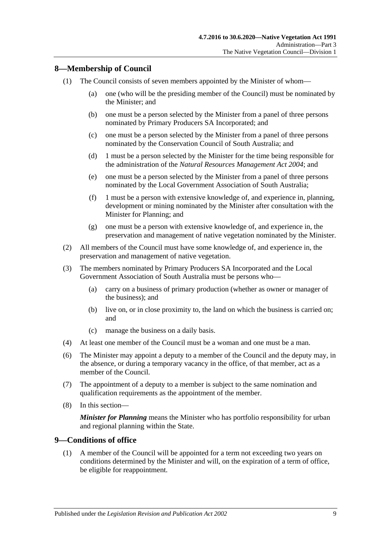## <span id="page-8-0"></span>**8—Membership of Council**

- (1) The Council consists of seven members appointed by the Minister of whom—
	- (a) one (who will be the presiding member of the Council) must be nominated by the Minister; and
	- (b) one must be a person selected by the Minister from a panel of three persons nominated by Primary Producers SA Incorporated; and
	- (c) one must be a person selected by the Minister from a panel of three persons nominated by the Conservation Council of South Australia; and
	- (d) 1 must be a person selected by the Minister for the time being responsible for the administration of the *[Natural Resources Management Act](http://www.legislation.sa.gov.au/index.aspx?action=legref&type=act&legtitle=Natural%20Resources%20Management%20Act%202004) 2004*; and
	- (e) one must be a person selected by the Minister from a panel of three persons nominated by the Local Government Association of South Australia;
	- (f) 1 must be a person with extensive knowledge of, and experience in, planning, development or mining nominated by the Minister after consultation with the Minister for Planning; and
	- (g) one must be a person with extensive knowledge of, and experience in, the preservation and management of native vegetation nominated by the Minister.
- (2) All members of the Council must have some knowledge of, and experience in, the preservation and management of native vegetation.
- (3) The members nominated by Primary Producers SA Incorporated and the Local Government Association of South Australia must be persons who—
	- (a) carry on a business of primary production (whether as owner or manager of the business); and
	- (b) live on, or in close proximity to, the land on which the business is carried on; and
	- (c) manage the business on a daily basis.
- (4) At least one member of the Council must be a woman and one must be a man.
- (6) The Minister may appoint a deputy to a member of the Council and the deputy may, in the absence, or during a temporary vacancy in the office, of that member, act as a member of the Council.
- (7) The appointment of a deputy to a member is subject to the same nomination and qualification requirements as the appointment of the member.
- (8) In this section—

*Minister for Planning* means the Minister who has portfolio responsibility for urban and regional planning within the State.

#### <span id="page-8-1"></span>**9—Conditions of office**

(1) A member of the Council will be appointed for a term not exceeding two years on conditions determined by the Minister and will, on the expiration of a term of office, be eligible for reappointment.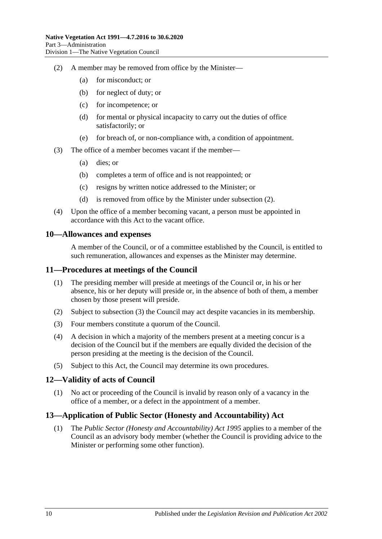- <span id="page-9-4"></span>(2) A member may be removed from office by the Minister—
	- (a) for misconduct; or
	- (b) for neglect of duty; or
	- (c) for incompetence; or
	- (d) for mental or physical incapacity to carry out the duties of office satisfactorily; or
	- (e) for breach of, or non-compliance with, a condition of appointment.
- (3) The office of a member becomes vacant if the member—
	- (a) dies; or
	- (b) completes a term of office and is not reappointed; or
	- (c) resigns by written notice addressed to the Minister; or
	- (d) is removed from office by the Minister under [subsection](#page-9-4) (2).
- (4) Upon the office of a member becoming vacant, a person must be appointed in accordance with this Act to the vacant office.

#### <span id="page-9-0"></span>**10—Allowances and expenses**

A member of the Council, or of a committee established by the Council, is entitled to such remuneration, allowances and expenses as the Minister may determine.

#### <span id="page-9-1"></span>**11—Procedures at meetings of the Council**

- (1) The presiding member will preside at meetings of the Council or, in his or her absence, his or her deputy will preside or, in the absence of both of them, a member chosen by those present will preside.
- (2) Subject to [subsection](#page-9-5) (3) the Council may act despite vacancies in its membership.
- <span id="page-9-5"></span>(3) Four members constitute a quorum of the Council.
- (4) A decision in which a majority of the members present at a meeting concur is a decision of the Council but if the members are equally divided the decision of the person presiding at the meeting is the decision of the Council.
- (5) Subject to this Act, the Council may determine its own procedures.

#### <span id="page-9-2"></span>**12—Validity of acts of Council**

(1) No act or proceeding of the Council is invalid by reason only of a vacancy in the office of a member, or a defect in the appointment of a member.

### <span id="page-9-3"></span>**13—Application of Public Sector (Honesty and Accountability) Act**

(1) The *[Public Sector \(Honesty and Accountability\) Act](http://www.legislation.sa.gov.au/index.aspx?action=legref&type=act&legtitle=Public%20Sector%20(Honesty%20and%20Accountability)%20Act%201995) 1995* applies to a member of the Council as an advisory body member (whether the Council is providing advice to the Minister or performing some other function).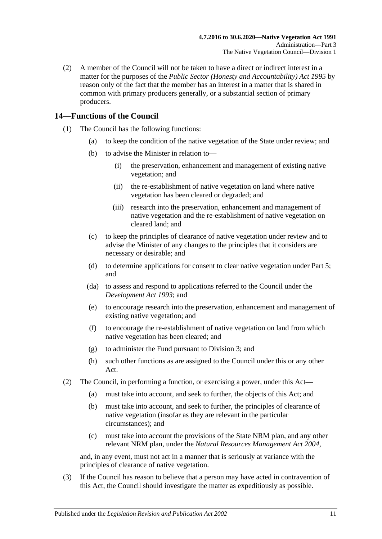(2) A member of the Council will not be taken to have a direct or indirect interest in a matter for the purposes of the *[Public Sector \(Honesty and Accountability\) Act](http://www.legislation.sa.gov.au/index.aspx?action=legref&type=act&legtitle=Public%20Sector%20(Honesty%20and%20Accountability)%20Act%201995) 1995* by reason only of the fact that the member has an interest in a matter that is shared in common with primary producers generally, or a substantial section of primary producers.

## <span id="page-10-0"></span>**14—Functions of the Council**

- (1) The Council has the following functions:
	- (a) to keep the condition of the native vegetation of the State under review; and
	- (b) to advise the Minister in relation to—
		- (i) the preservation, enhancement and management of existing native vegetation; and
		- (ii) the re-establishment of native vegetation on land where native vegetation has been cleared or degraded; and
		- (iii) research into the preservation, enhancement and management of native vegetation and the re-establishment of native vegetation on cleared land; and
	- (c) to keep the principles of clearance of native vegetation under review and to advise the Minister of any changes to the principles that it considers are necessary or desirable; and
	- (d) to determine applications for consent to clear native vegetation under [Part 5;](#page-23-1) and
	- (da) to assess and respond to applications referred to the Council under the *[Development Act](http://www.legislation.sa.gov.au/index.aspx?action=legref&type=act&legtitle=Development%20Act%201993) 1993*; and
	- (e) to encourage research into the preservation, enhancement and management of existing native vegetation; and
	- (f) to encourage the re-establishment of native vegetation on land from which native vegetation has been cleared; and
	- (g) to administer the Fund pursuant to [Division 3;](#page-12-2) and
	- (h) such other functions as are assigned to the Council under this or any other Act.
- (2) The Council, in performing a function, or exercising a power, under this Act—
	- (a) must take into account, and seek to further, the objects of this Act; and
	- (b) must take into account, and seek to further, the principles of clearance of native vegetation (insofar as they are relevant in the particular circumstances); and
	- (c) must take into account the provisions of the State NRM plan, and any other relevant NRM plan, under the *[Natural Resources Management Act](http://www.legislation.sa.gov.au/index.aspx?action=legref&type=act&legtitle=Natural%20Resources%20Management%20Act%202004) 2004*,

and, in any event, must not act in a manner that is seriously at variance with the principles of clearance of native vegetation.

(3) If the Council has reason to believe that a person may have acted in contravention of this Act, the Council should investigate the matter as expeditiously as possible.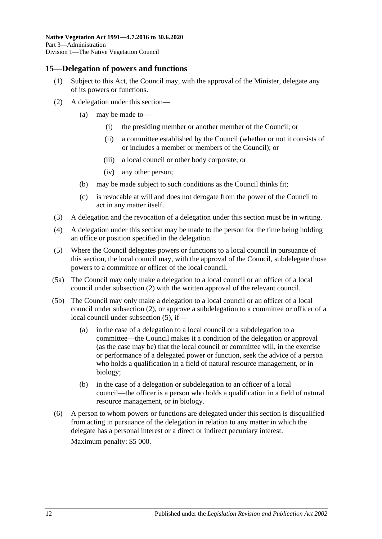#### <span id="page-11-0"></span>**15—Delegation of powers and functions**

- (1) Subject to this Act, the Council may, with the approval of the Minister, delegate any of its powers or functions.
- <span id="page-11-1"></span>(2) A delegation under this section—
	- (a) may be made to—
		- (i) the presiding member or another member of the Council; or
		- (ii) a committee established by the Council (whether or not it consists of or includes a member or members of the Council); or
		- (iii) a local council or other body corporate; or
		- (iv) any other person;
	- (b) may be made subject to such conditions as the Council thinks fit;
	- (c) is revocable at will and does not derogate from the power of the Council to act in any matter itself.
- (3) A delegation and the revocation of a delegation under this section must be in writing.
- (4) A delegation under this section may be made to the person for the time being holding an office or position specified in the delegation.
- <span id="page-11-2"></span>(5) Where the Council delegates powers or functions to a local council in pursuance of this section, the local council may, with the approval of the Council, subdelegate those powers to a committee or officer of the local council.
- (5a) The Council may only make a delegation to a local council or an officer of a local council under [subsection](#page-11-1) (2) with the written approval of the relevant council.
- (5b) The Council may only make a delegation to a local council or an officer of a local council under [subsection](#page-11-1) (2), or approve a subdelegation to a committee or officer of a local council under [subsection](#page-11-2) (5), if—
	- (a) in the case of a delegation to a local council or a subdelegation to a committee—the Council makes it a condition of the delegation or approval (as the case may be) that the local council or committee will, in the exercise or performance of a delegated power or function, seek the advice of a person who holds a qualification in a field of natural resource management, or in biology;
	- (b) in the case of a delegation or subdelegation to an officer of a local council—the officer is a person who holds a qualification in a field of natural resource management, or in biology.
- (6) A person to whom powers or functions are delegated under this section is disqualified from acting in pursuance of the delegation in relation to any matter in which the delegate has a personal interest or a direct or indirect pecuniary interest. Maximum penalty: \$5 000.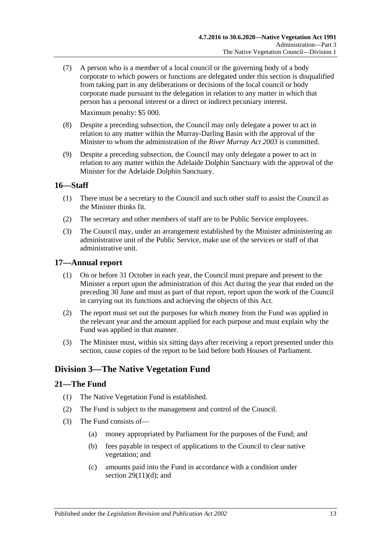(7) A person who is a member of a local council or the governing body of a body corporate to which powers or functions are delegated under this section is disqualified from taking part in any deliberations or decisions of the local council or body corporate made pursuant to the delegation in relation to any matter in which that person has a personal interest or a direct or indirect pecuniary interest.

Maximum penalty: \$5 000.

- (8) Despite a preceding subsection, the Council may only delegate a power to act in relation to any matter within the Murray-Darling Basin with the approval of the Minister to whom the administration of the *[River Murray Act](http://www.legislation.sa.gov.au/index.aspx?action=legref&type=act&legtitle=River%20Murray%20Act%202003) 2003* is committed.
- (9) Despite a preceding subsection, the Council may only delegate a power to act in relation to any matter within the Adelaide Dolphin Sanctuary with the approval of the Minister for the Adelaide Dolphin Sanctuary.

### <span id="page-12-0"></span>**16—Staff**

- (1) There must be a secretary to the Council and such other staff to assist the Council as the Minister thinks fit.
- (2) The secretary and other members of staff are to be Public Service employees.
- (3) The Council may, under an arrangement established by the Minister administering an administrative unit of the Public Service, make use of the services or staff of that administrative unit.

#### <span id="page-12-1"></span>**17—Annual report**

- (1) On or before 31 October in each year, the Council must prepare and present to the Minister a report upon the administration of this Act during the year that ended on the preceding 30 June and must as part of that report, report upon the work of the Council in carrying out its functions and achieving the objects of this Act.
- (2) The report must set out the purposes for which money from the Fund was applied in the relevant year and the amount applied for each purpose and must explain why the Fund was applied in that manner.
- (3) The Minister must, within six sitting days after receiving a report presented under this section, cause copies of the report to be laid before both Houses of Parliament.

## <span id="page-12-2"></span>**Division 3—The Native Vegetation Fund**

#### <span id="page-12-3"></span>**21—The Fund**

- (1) The Native Vegetation Fund is established.
- (2) The Fund is subject to the management and control of the Council.
- <span id="page-12-4"></span>(3) The Fund consists of—
	- (a) money appropriated by Parliament for the purposes of the Fund; and
	- (b) fees payable in respect of applications to the Council to clear native vegetation; and
	- (c) amounts paid into the Fund in accordance with a condition under section  $29(11)(d)$ ; and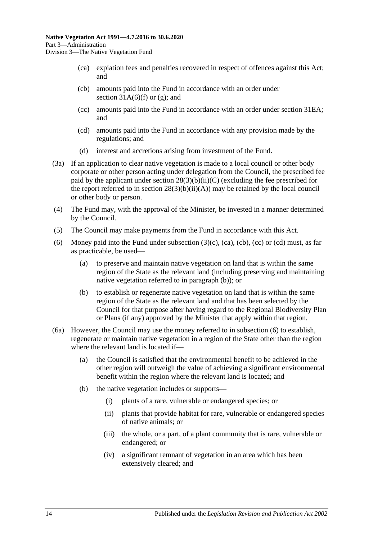- <span id="page-13-0"></span>(ca) expiation fees and penalties recovered in respect of offences against this Act; and
- <span id="page-13-1"></span>(cb) amounts paid into the Fund in accordance with an order under section  $31A(6)$ (f) or [\(g\);](#page-35-1) and
- <span id="page-13-2"></span>(cc) amounts paid into the Fund in accordance with an order under [section](#page-39-0) 31EA; and
- <span id="page-13-3"></span>(cd) amounts paid into the Fund in accordance with any provision made by the regulations; and
- (d) interest and accretions arising from investment of the Fund.
- (3a) If an application to clear native vegetation is made to a local council or other body corporate or other person acting under delegation from the Council, the prescribed fee paid by the applicant under section  $28(3)(b)(ii)(C)$  (excluding the fee prescribed for the report referred to in section  $28(3)(b)(ii)(A))$  may be retained by the local council or other body or person.
- (4) The Fund may, with the approval of the Minister, be invested in a manner determined by the Council.
- (5) The Council may make payments from the Fund in accordance with this Act.
- <span id="page-13-5"></span>(6) Money paid into the Fund under [subsection](#page-12-4)  $(3)(c)$ ,  $(ca)$ ,  $(cc)$  or  $(cd)$  must, as far as practicable, be used—
	- (a) to preserve and maintain native vegetation on land that is within the same region of the State as the relevant land (including preserving and maintaining native vegetation referred to in [paragraph](#page-13-4) (b)); or
	- (b) to establish or regenerate native vegetation on land that is within the same region of the State as the relevant land and that has been selected by the Council for that purpose after having regard to the Regional Biodiversity Plan or Plans (if any) approved by the Minister that apply within that region.
- <span id="page-13-6"></span><span id="page-13-4"></span>(6a) However, the Council may use the money referred to in [subsection](#page-13-5) (6) to establish, regenerate or maintain native vegetation in a region of the State other than the region where the relevant land is located if—
	- (a) the Council is satisfied that the environmental benefit to be achieved in the other region will outweigh the value of achieving a significant environmental benefit within the region where the relevant land is located; and
	- (b) the native vegetation includes or supports—
		- (i) plants of a rare, vulnerable or endangered species; or
		- (ii) plants that provide habitat for rare, vulnerable or endangered species of native animals; or
		- (iii) the whole, or a part, of a plant community that is rare, vulnerable or endangered; or
		- (iv) a significant remnant of vegetation in an area which has been extensively cleared; and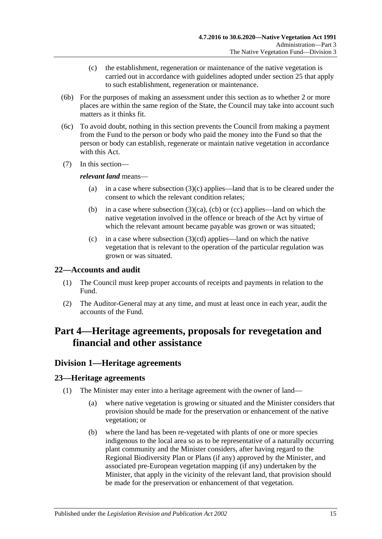- (c) the establishment, regeneration or maintenance of the native vegetation is carried out in accordance with guidelines adopted under [section](#page-18-0) 25 that apply to such establishment, regeneration or maintenance.
- (6b) For the purposes of making an assessment under this section as to whether 2 or more places are within the same region of the State, the Council may take into account such matters as it thinks fit.
- (6c) To avoid doubt, nothing in this section prevents the Council from making a payment from the Fund to the person or body who paid the money into the Fund so that the person or body can establish, regenerate or maintain native vegetation in accordance with this Act.
- (7) In this section—

#### *relevant land* means—

- (a) in a case where [subsection](#page-12-4) (3)(c) applies—land that is to be cleared under the consent to which the relevant condition relates;
- (b) in a case where [subsection](#page-13-0)  $(3)(ca)$ , [\(cb\)](#page-13-1) or [\(cc\)](#page-13-2) applies—land on which the native vegetation involved in the offence or breach of the Act by virtue of which the relevant amount became payable was grown or was situated;
- (c) in a case where [subsection](#page-13-3)  $(3)(cd)$  applies—land on which the native vegetation that is relevant to the operation of the particular regulation was grown or was situated.

### <span id="page-14-0"></span>**22—Accounts and audit**

- (1) The Council must keep proper accounts of receipts and payments in relation to the Fund.
- (2) The Auditor-General may at any time, and must at least once in each year, audit the accounts of the Fund.

## <span id="page-14-1"></span>**Part 4—Heritage agreements, proposals for revegetation and financial and other assistance**

## <span id="page-14-2"></span>**Division 1—Heritage agreements**

### <span id="page-14-3"></span>**23—Heritage agreements**

- (1) The Minister may enter into a heritage agreement with the owner of land—
	- (a) where native vegetation is growing or situated and the Minister considers that provision should be made for the preservation or enhancement of the native vegetation; or
	- (b) where the land has been re-vegetated with plants of one or more species indigenous to the local area so as to be representative of a naturally occurring plant community and the Minister considers, after having regard to the Regional Biodiversity Plan or Plans (if any) approved by the Minister, and associated pre-European vegetation mapping (if any) undertaken by the Minister, that apply in the vicinity of the relevant land, that provision should be made for the preservation or enhancement of that vegetation.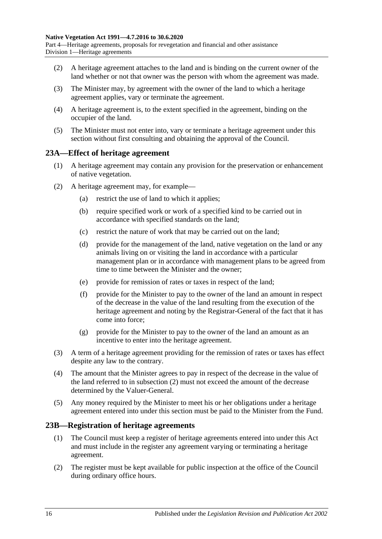Part 4—Heritage agreements, proposals for revegetation and financial and other assistance Division 1—Heritage agreements

- (2) A heritage agreement attaches to the land and is binding on the current owner of the land whether or not that owner was the person with whom the agreement was made.
- (3) The Minister may, by agreement with the owner of the land to which a heritage agreement applies, vary or terminate the agreement.
- (4) A heritage agreement is, to the extent specified in the agreement, binding on the occupier of the land.
- (5) The Minister must not enter into, vary or terminate a heritage agreement under this section without first consulting and obtaining the approval of the Council.

#### <span id="page-15-0"></span>**23A—Effect of heritage agreement**

- (1) A heritage agreement may contain any provision for the preservation or enhancement of native vegetation.
- <span id="page-15-2"></span>(2) A heritage agreement may, for example—
	- (a) restrict the use of land to which it applies;
	- (b) require specified work or work of a specified kind to be carried out in accordance with specified standards on the land;
	- (c) restrict the nature of work that may be carried out on the land;
	- (d) provide for the management of the land, native vegetation on the land or any animals living on or visiting the land in accordance with a particular management plan or in accordance with management plans to be agreed from time to time between the Minister and the owner;
	- (e) provide for remission of rates or taxes in respect of the land;
	- (f) provide for the Minister to pay to the owner of the land an amount in respect of the decrease in the value of the land resulting from the execution of the heritage agreement and noting by the Registrar-General of the fact that it has come into force;
	- (g) provide for the Minister to pay to the owner of the land an amount as an incentive to enter into the heritage agreement.
- (3) A term of a heritage agreement providing for the remission of rates or taxes has effect despite any law to the contrary.
- (4) The amount that the Minister agrees to pay in respect of the decrease in the value of the land referred to in [subsection](#page-15-2) (2) must not exceed the amount of the decrease determined by the Valuer-General.
- (5) Any money required by the Minister to meet his or her obligations under a heritage agreement entered into under this section must be paid to the Minister from the Fund.

#### <span id="page-15-1"></span>**23B—Registration of heritage agreements**

- (1) The Council must keep a register of heritage agreements entered into under this Act and must include in the register any agreement varying or terminating a heritage agreement.
- (2) The register must be kept available for public inspection at the office of the Council during ordinary office hours.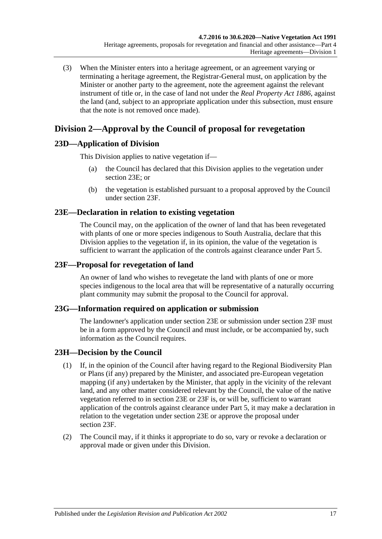(3) When the Minister enters into a heritage agreement, or an agreement varying or terminating a heritage agreement, the Registrar-General must, on application by the Minister or another party to the agreement, note the agreement against the relevant instrument of title or, in the case of land not under the *[Real Property Act](http://www.legislation.sa.gov.au/index.aspx?action=legref&type=act&legtitle=Real%20Property%20Act%201886) 1886*, against the land (and, subject to an appropriate application under this subsection, must ensure that the note is not removed once made).

## <span id="page-16-0"></span>**Division 2—Approval by the Council of proposal for revegetation**

## <span id="page-16-1"></span>**23D—Application of Division**

This Division applies to native vegetation if—

- (a) the Council has declared that this Division applies to the vegetation under [section](#page-16-2) 23E; or
- (b) the vegetation is established pursuant to a proposal approved by the Council under [section](#page-16-3) 23F.

## <span id="page-16-2"></span>**23E—Declaration in relation to existing vegetation**

The Council may, on the application of the owner of land that has been revegetated with plants of one or more species indigenous to South Australia, declare that this Division applies to the vegetation if, in its opinion, the value of the vegetation is sufficient to warrant the application of the controls against clearance under [Part 5.](#page-23-1)

## <span id="page-16-3"></span>**23F—Proposal for revegetation of land**

An owner of land who wishes to revegetate the land with plants of one or more species indigenous to the local area that will be representative of a naturally occurring plant community may submit the proposal to the Council for approval.

### <span id="page-16-4"></span>**23G—Information required on application or submission**

The landowner's application under [section](#page-16-2) 23E or submission under [section](#page-16-3) 23F must be in a form approved by the Council and must include, or be accompanied by, such information as the Council requires.

## <span id="page-16-5"></span>**23H—Decision by the Council**

- (1) If, in the opinion of the Council after having regard to the Regional Biodiversity Plan or Plans (if any) prepared by the Minister, and associated pre-European vegetation mapping (if any) undertaken by the Minister, that apply in the vicinity of the relevant land, and any other matter considered relevant by the Council, the value of the native vegetation referred to in [section](#page-16-2) 23E or [23F](#page-16-3) is, or will be, sufficient to warrant application of the controls against clearance under [Part 5,](#page-23-1) it may make a declaration in relation to the vegetation under [section](#page-16-2) 23E or approve the proposal under [section](#page-16-3) 23F.
- <span id="page-16-6"></span>(2) The Council may, if it thinks it appropriate to do so, vary or revoke a declaration or approval made or given under this Division.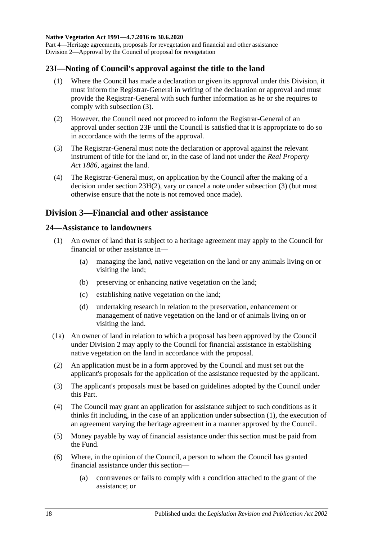Part 4—Heritage agreements, proposals for revegetation and financial and other assistance Division 2—Approval by the Council of proposal for revegetation

### <span id="page-17-0"></span>**23I—Noting of Council's approval against the title to the land**

- (1) Where the Council has made a declaration or given its approval under this Division, it must inform the Registrar-General in writing of the declaration or approval and must provide the Registrar-General with such further information as he or she requires to comply with [subsection](#page-17-3) (3).
- (2) However, the Council need not proceed to inform the Registrar-General of an approval under [section](#page-16-3) 23F until the Council is satisfied that it is appropriate to do so in accordance with the terms of the approval.
- <span id="page-17-3"></span>(3) The Registrar-General must note the declaration or approval against the relevant instrument of title for the land or, in the case of land not under the *[Real Property](http://www.legislation.sa.gov.au/index.aspx?action=legref&type=act&legtitle=Real%20Property%20Act%201886)  Act [1886](http://www.legislation.sa.gov.au/index.aspx?action=legref&type=act&legtitle=Real%20Property%20Act%201886)*, against the land.
- (4) The Registrar-General must, on application by the Council after the making of a decision under section [23H\(2\),](#page-16-6) vary or cancel a note under [subsection](#page-17-3) (3) (but must otherwise ensure that the note is not removed once made).

## <span id="page-17-1"></span>**Division 3—Financial and other assistance**

#### <span id="page-17-4"></span><span id="page-17-2"></span>**24—Assistance to landowners**

- (1) An owner of land that is subject to a heritage agreement may apply to the Council for financial or other assistance in—
	- (a) managing the land, native vegetation on the land or any animals living on or visiting the land;
	- (b) preserving or enhancing native vegetation on the land;
	- (c) establishing native vegetation on the land;
	- (d) undertaking research in relation to the preservation, enhancement or management of native vegetation on the land or of animals living on or visiting the land.
- (1a) An owner of land in relation to which a proposal has been approved by the Council under [Division 2](#page-16-0) may apply to the Council for financial assistance in establishing native vegetation on the land in accordance with the proposal.
- (2) An application must be in a form approved by the Council and must set out the applicant's proposals for the application of the assistance requested by the applicant.
- (3) The applicant's proposals must be based on guidelines adopted by the Council under this Part.
- (4) The Council may grant an application for assistance subject to such conditions as it thinks fit including, in the case of an application under [subsection](#page-17-4) (1), the execution of an agreement varying the heritage agreement in a manner approved by the Council.
- (5) Money payable by way of financial assistance under this section must be paid from the Fund.
- <span id="page-17-5"></span>(6) Where, in the opinion of the Council, a person to whom the Council has granted financial assistance under this section—
	- (a) contravenes or fails to comply with a condition attached to the grant of the assistance; or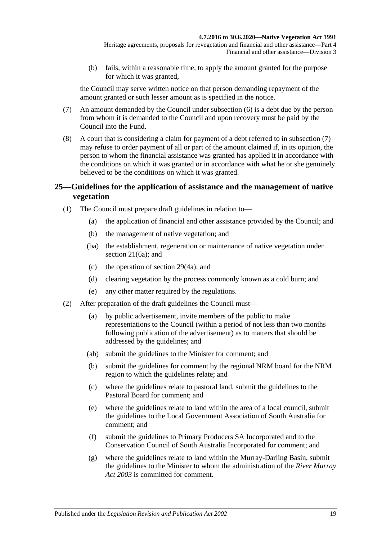(b) fails, within a reasonable time, to apply the amount granted for the purpose for which it was granted,

the Council may serve written notice on that person demanding repayment of the amount granted or such lesser amount as is specified in the notice.

- <span id="page-18-1"></span>(7) An amount demanded by the Council under [subsection](#page-17-5) (6) is a debt due by the person from whom it is demanded to the Council and upon recovery must be paid by the Council into the Fund.
- (8) A court that is considering a claim for payment of a debt referred to in [subsection](#page-18-1) (7) may refuse to order payment of all or part of the amount claimed if, in its opinion, the person to whom the financial assistance was granted has applied it in accordance with the conditions on which it was granted or in accordance with what he or she genuinely believed to be the conditions on which it was granted.

## <span id="page-18-0"></span>**25—Guidelines for the application of assistance and the management of native vegetation**

- (1) The Council must prepare draft guidelines in relation to—
	- (a) the application of financial and other assistance provided by the Council; and
	- (b) the management of native vegetation; and
	- (ba) the establishment, regeneration or maintenance of native vegetation under [section](#page-13-6) 21(6a); and
	- (c) the operation of [section](#page-29-0) 29(4a); and
	- (d) clearing vegetation by the process commonly known as a cold burn; and
	- (e) any other matter required by the regulations.
- <span id="page-18-4"></span><span id="page-18-3"></span><span id="page-18-2"></span>(2) After preparation of the draft guidelines the Council must—
	- (a) by public advertisement, invite members of the public to make representations to the Council (within a period of not less than two months following publication of the advertisement) as to matters that should be addressed by the guidelines; and
	- (ab) submit the guidelines to the Minister for comment; and
	- (b) submit the guidelines for comment by the regional NRM board for the NRM region to which the guidelines relate; and
	- (c) where the guidelines relate to pastoral land, submit the guidelines to the Pastoral Board for comment; and
	- (e) where the guidelines relate to land within the area of a local council, submit the guidelines to the Local Government Association of South Australia for comment; and
	- (f) submit the guidelines to Primary Producers SA Incorporated and to the Conservation Council of South Australia Incorporated for comment; and
	- (g) where the guidelines relate to land within the Murray-Darling Basin, submit the guidelines to the Minister to whom the administration of the *[River Murray](http://www.legislation.sa.gov.au/index.aspx?action=legref&type=act&legtitle=River%20Murray%20Act%202003)  Act [2003](http://www.legislation.sa.gov.au/index.aspx?action=legref&type=act&legtitle=River%20Murray%20Act%202003)* is committed for comment.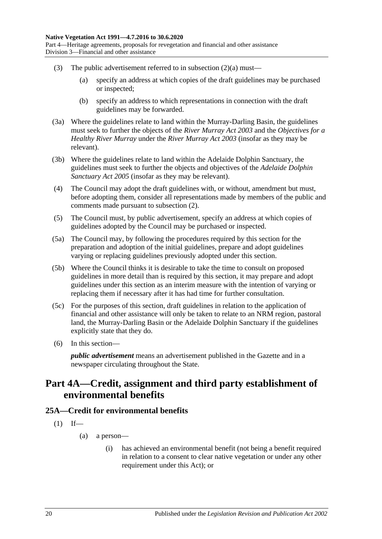Part 4—Heritage agreements, proposals for revegetation and financial and other assistance Division 3—Financial and other assistance

- (3) The public advertisement referred to in [subsection](#page-18-2)  $(2)(a)$  must—
	- (a) specify an address at which copies of the draft guidelines may be purchased or inspected;
	- (b) specify an address to which representations in connection with the draft guidelines may be forwarded.
- (3a) Where the guidelines relate to land within the Murray-Darling Basin, the guidelines must seek to further the objects of the *[River Murray Act](http://www.legislation.sa.gov.au/index.aspx?action=legref&type=act&legtitle=River%20Murray%20Act%202003) 2003* and the *Objectives for a Healthy River Murray* under the *[River Murray Act](http://www.legislation.sa.gov.au/index.aspx?action=legref&type=act&legtitle=River%20Murray%20Act%202003) 2003* (insofar as they may be relevant).
- (3b) Where the guidelines relate to land within the Adelaide Dolphin Sanctuary, the guidelines must seek to further the objects and objectives of the *[Adelaide Dolphin](http://www.legislation.sa.gov.au/index.aspx?action=legref&type=act&legtitle=Adelaide%20Dolphin%20Sanctuary%20Act%202005)  [Sanctuary Act](http://www.legislation.sa.gov.au/index.aspx?action=legref&type=act&legtitle=Adelaide%20Dolphin%20Sanctuary%20Act%202005) 2005* (insofar as they may be relevant).
- (4) The Council may adopt the draft guidelines with, or without, amendment but must, before adopting them, consider all representations made by members of the public and comments made pursuant to [subsection](#page-18-3) (2).
- (5) The Council must, by public advertisement, specify an address at which copies of guidelines adopted by the Council may be purchased or inspected.
- (5a) The Council may, by following the procedures required by this section for the preparation and adoption of the initial guidelines, prepare and adopt guidelines varying or replacing guidelines previously adopted under this section.
- (5b) Where the Council thinks it is desirable to take the time to consult on proposed guidelines in more detail than is required by this section, it may prepare and adopt guidelines under this section as an interim measure with the intention of varying or replacing them if necessary after it has had time for further consultation.
- (5c) For the purposes of this section, draft guidelines in relation to the application of financial and other assistance will only be taken to relate to an NRM region, pastoral land, the Murray-Darling Basin or the Adelaide Dolphin Sanctuary if the guidelines explicitly state that they do.
- (6) In this section—

*public advertisement* means an advertisement published in the Gazette and in a newspaper circulating throughout the State.

## <span id="page-19-0"></span>**Part 4A—Credit, assignment and third party establishment of environmental benefits**

### <span id="page-19-1"></span>**25A—Credit for environmental benefits**

- $(1)$  If—
	- (a) a person—
		- (i) has achieved an environmental benefit (not being a benefit required in relation to a consent to clear native vegetation or under any other requirement under this Act); or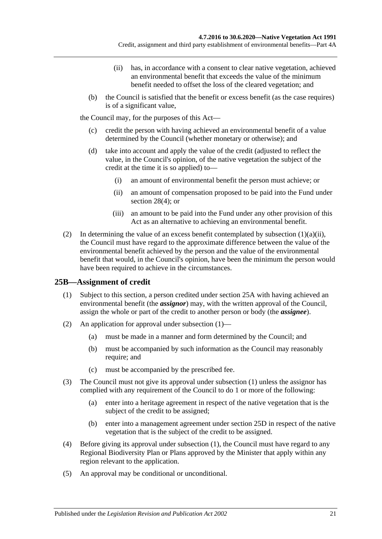- (ii) has, in accordance with a consent to clear native vegetation, achieved an environmental benefit that exceeds the value of the minimum benefit needed to offset the loss of the cleared vegetation; and
- <span id="page-20-1"></span>(b) the Council is satisfied that the benefit or excess benefit (as the case requires) is of a significant value,

the Council may, for the purposes of this Act—

- (c) credit the person with having achieved an environmental benefit of a value determined by the Council (whether monetary or otherwise); and
- <span id="page-20-3"></span>(d) take into account and apply the value of the credit (adjusted to reflect the value, in the Council's opinion, of the native vegetation the subject of the credit at the time it is so applied) to—
	- (i) an amount of environmental benefit the person must achieve; or
	- (ii) an amount of compensation proposed to be paid into the Fund under [section](#page-28-2) 28(4); or
	- (iii) an amount to be paid into the Fund under any other provision of this Act as an alternative to achieving an environmental benefit.
- (2) In determining the value of an excess benefit contemplated by [subsection](#page-20-1)  $(1)(a)(ii)$ , the Council must have regard to the approximate difference between the value of the environmental benefit achieved by the person and the value of the environmental benefit that would, in the Council's opinion, have been the minimum the person would have been required to achieve in the circumstances.

## <span id="page-20-2"></span><span id="page-20-0"></span>**25B—Assignment of credit**

- (1) Subject to this section, a person credited under [section](#page-19-1) 25A with having achieved an environmental benefit (the *assignor*) may, with the written approval of the Council, assign the whole or part of the credit to another person or body (the *assignee*).
- (2) An application for approval under [subsection](#page-20-2) (1)—
	- (a) must be made in a manner and form determined by the Council; and
	- (b) must be accompanied by such information as the Council may reasonably require; and
	- (c) must be accompanied by the prescribed fee.
- (3) The Council must not give its approval under [subsection](#page-20-2) (1) unless the assignor has complied with any requirement of the Council to do 1 or more of the following:
	- (a) enter into a heritage agreement in respect of the native vegetation that is the subject of the credit to be assigned;
	- (b) enter into a management agreement under [section](#page-22-0) 25D in respect of the native vegetation that is the subject of the credit to be assigned.
- (4) Before giving its approval under [subsection](#page-20-2) (1), the Council must have regard to any Regional Biodiversity Plan or Plans approved by the Minister that apply within any region relevant to the application.
- (5) An approval may be conditional or unconditional.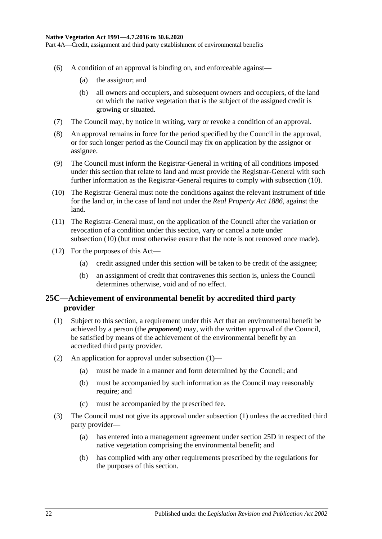Part 4A—Credit, assignment and third party establishment of environmental benefits

- (6) A condition of an approval is binding on, and enforceable against—
	- (a) the assignor; and
	- (b) all owners and occupiers, and subsequent owners and occupiers, of the land on which the native vegetation that is the subject of the assigned credit is growing or situated.
- (7) The Council may, by notice in writing, vary or revoke a condition of an approval.
- (8) An approval remains in force for the period specified by the Council in the approval, or for such longer period as the Council may fix on application by the assignor or assignee.
- (9) The Council must inform the Registrar-General in writing of all conditions imposed under this section that relate to land and must provide the Registrar-General with such further information as the Registrar-General requires to comply with [subsection](#page-21-1) (10).
- <span id="page-21-1"></span>(10) The Registrar-General must note the conditions against the relevant instrument of title for the land or, in the case of land not under the *[Real Property Act](http://www.legislation.sa.gov.au/index.aspx?action=legref&type=act&legtitle=Real%20Property%20Act%201886) 1886*, against the land.
- (11) The Registrar-General must, on the application of the Council after the variation or revocation of a condition under this section, vary or cancel a note under [subsection](#page-21-1) (10) (but must otherwise ensure that the note is not removed once made).
- (12) For the purposes of this Act—
	- (a) credit assigned under this section will be taken to be credit of the assignee;
	- (b) an assignment of credit that contravenes this section is, unless the Council determines otherwise, void and of no effect.

## <span id="page-21-0"></span>**25C—Achievement of environmental benefit by accredited third party provider**

- <span id="page-21-2"></span>(1) Subject to this section, a requirement under this Act that an environmental benefit be achieved by a person (the *proponent*) may, with the written approval of the Council, be satisfied by means of the achievement of the environmental benefit by an accredited third party provider.
- (2) An application for approval under [subsection](#page-21-2) (1)—
	- (a) must be made in a manner and form determined by the Council; and
	- (b) must be accompanied by such information as the Council may reasonably require; and
	- (c) must be accompanied by the prescribed fee.
- (3) The Council must not give its approval under [subsection](#page-21-2) (1) unless the accredited third party provider—
	- (a) has entered into a management agreement under [section](#page-22-0) 25D in respect of the native vegetation comprising the environmental benefit; and
	- (b) has complied with any other requirements prescribed by the regulations for the purposes of this section.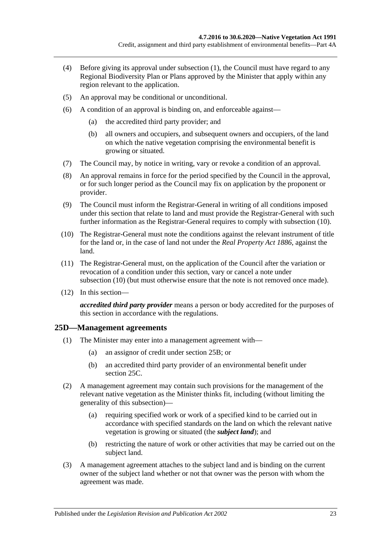- (4) Before giving its approval under [subsection](#page-21-2) (1), the Council must have regard to any Regional Biodiversity Plan or Plans approved by the Minister that apply within any region relevant to the application.
- (5) An approval may be conditional or unconditional.
- (6) A condition of an approval is binding on, and enforceable against—
	- (a) the accredited third party provider; and
	- (b) all owners and occupiers, and subsequent owners and occupiers, of the land on which the native vegetation comprising the environmental benefit is growing or situated.
- (7) The Council may, by notice in writing, vary or revoke a condition of an approval.
- (8) An approval remains in force for the period specified by the Council in the approval, or for such longer period as the Council may fix on application by the proponent or provider.
- (9) The Council must inform the Registrar-General in writing of all conditions imposed under this section that relate to land and must provide the Registrar-General with such further information as the Registrar-General requires to comply with [subsection](#page-22-1) (10).
- <span id="page-22-1"></span>(10) The Registrar-General must note the conditions against the relevant instrument of title for the land or, in the case of land not under the *[Real Property Act](http://www.legislation.sa.gov.au/index.aspx?action=legref&type=act&legtitle=Real%20Property%20Act%201886) 1886*, against the land.
- (11) The Registrar-General must, on the application of the Council after the variation or revocation of a condition under this section, vary or cancel a note under [subsection](#page-22-1) (10) (but must otherwise ensure that the note is not removed once made).
- (12) In this section—

*accredited third party provider* means a person or body accredited for the purposes of this section in accordance with the regulations.

### <span id="page-22-0"></span>**25D—Management agreements**

- (1) The Minister may enter into a management agreement with—
	- (a) an assignor of credit under [section](#page-20-0) 25B; or
	- (b) an accredited third party provider of an environmental benefit under [section](#page-21-0) 25C.
- (2) A management agreement may contain such provisions for the management of the relevant native vegetation as the Minister thinks fit, including (without limiting the generality of this subsection)—
	- (a) requiring specified work or work of a specified kind to be carried out in accordance with specified standards on the land on which the relevant native vegetation is growing or situated (the *subject land*); and
	- (b) restricting the nature of work or other activities that may be carried out on the subject land.
- (3) A management agreement attaches to the subject land and is binding on the current owner of the subject land whether or not that owner was the person with whom the agreement was made.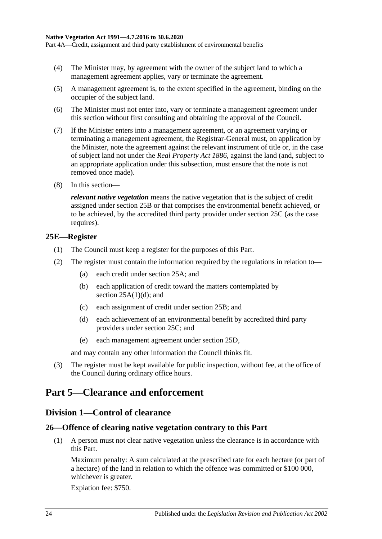Part 4A—Credit, assignment and third party establishment of environmental benefits

- (4) The Minister may, by agreement with the owner of the subject land to which a management agreement applies, vary or terminate the agreement.
- (5) A management agreement is, to the extent specified in the agreement, binding on the occupier of the subject land.
- (6) The Minister must not enter into, vary or terminate a management agreement under this section without first consulting and obtaining the approval of the Council.
- (7) If the Minister enters into a management agreement, or an agreement varying or terminating a management agreement, the Registrar-General must, on application by the Minister, note the agreement against the relevant instrument of title or, in the case of subject land not under the *[Real Property Act](http://www.legislation.sa.gov.au/index.aspx?action=legref&type=act&legtitle=Real%20Property%20Act%201886) 1886*, against the land (and, subject to an appropriate application under this subsection, must ensure that the note is not removed once made).
- (8) In this section—

*relevant native vegetation* means the native vegetation that is the subject of credit assigned under [section](#page-20-0) 25B or that comprises the environmental benefit achieved, or to be achieved, by the accredited third party provider under [section](#page-21-0) 25C (as the case requires).

#### <span id="page-23-0"></span>**25E—Register**

- (1) The Council must keep a register for the purposes of this Part.
- (2) The register must contain the information required by the regulations in relation to—
	- (a) each credit under [section](#page-19-1) 25A; and
	- (b) each application of credit toward the matters contemplated by section  $25A(1)(d)$ ; and
	- (c) each assignment of credit under [section](#page-20-0) 25B; and
	- (d) each achievement of an environmental benefit by accredited third party providers under [section](#page-21-0) 25C; and
	- (e) each management agreement under [section](#page-22-0) 25D,

and may contain any other information the Council thinks fit.

(3) The register must be kept available for public inspection, without fee, at the office of the Council during ordinary office hours.

## <span id="page-23-2"></span><span id="page-23-1"></span>**Part 5—Clearance and enforcement**

### **Division 1—Control of clearance**

## <span id="page-23-4"></span><span id="page-23-3"></span>**26—Offence of clearing native vegetation contrary to this Part**

(1) A person must not clear native vegetation unless the clearance is in accordance with this Part.

Maximum penalty: A sum calculated at the prescribed rate for each hectare (or part of a hectare) of the land in relation to which the offence was committed or \$100 000, whichever is greater.

Expiation fee: \$750.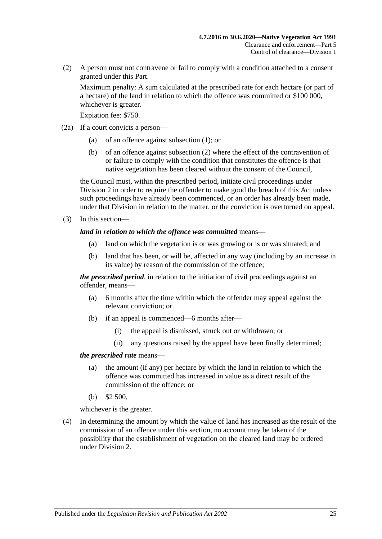<span id="page-24-0"></span>(2) A person must not contravene or fail to comply with a condition attached to a consent granted under this Part.

Maximum penalty: A sum calculated at the prescribed rate for each hectare (or part of a hectare) of the land in relation to which the offence was committed or \$100 000, whichever is greater.

Expiation fee: \$750.

- (2a) If a court convicts a person—
	- (a) of an offence against [subsection](#page-23-4) (1); or
	- (b) of an offence against [subsection](#page-24-0) (2) where the effect of the contravention of or failure to comply with the condition that constitutes the offence is that native vegetation has been cleared without the consent of the Council,

the Council must, within the prescribed period, initiate civil proceedings under [Division 2](#page-34-1) in order to require the offender to make good the breach of this Act unless such proceedings have already been commenced, or an order has already been made, under that Division in relation to the matter, or the conviction is overturned on appeal.

(3) In this section—

#### *land in relation to which the offence was committed* means—

- (a) land on which the vegetation is or was growing or is or was situated; and
- (b) land that has been, or will be, affected in any way (including by an increase in its value) by reason of the commission of the offence;

*the prescribed period*, in relation to the initiation of civil proceedings against an offender, means—

- (a) 6 months after the time within which the offender may appeal against the relevant conviction; or
- (b) if an appeal is commenced—6 months after—
	- (i) the appeal is dismissed, struck out or withdrawn; or
	- (ii) any questions raised by the appeal have been finally determined;

#### *the prescribed rate* means—

- (a) the amount (if any) per hectare by which the land in relation to which the offence was committed has increased in value as a direct result of the commission of the offence; or
- (b) \$2 500,

whichever is the greater.

(4) In determining the amount by which the value of land has increased as the result of the commission of an offence under this section, no account may be taken of the possibility that the establishment of vegetation on the cleared land may be ordered under [Division 2.](#page-34-1)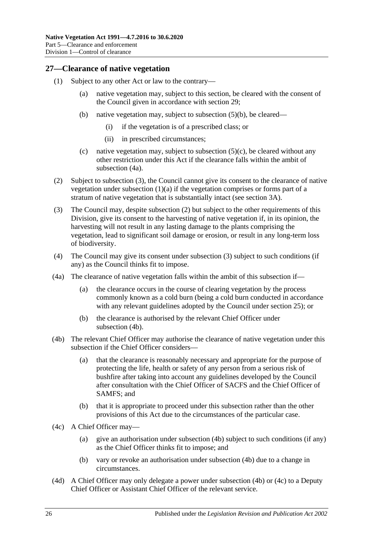## <span id="page-25-0"></span>**27—Clearance of native vegetation**

- <span id="page-25-8"></span><span id="page-25-7"></span><span id="page-25-3"></span>(1) Subject to any other Act or law to the contrary—
	- (a) native vegetation may, subject to this section, be cleared with the consent of the Council given in accordance with [section](#page-28-0) 29;
	- (b) native vegetation may, subject to [subsection](#page-26-1) (5)(b), be cleared—
		- (i) if the vegetation is of a prescribed class; or
		- (ii) in prescribed circumstances;
	- (c) native vegetation may, subject to subsection  $(5)(c)$ , be cleared without any other restriction under this Act if the clearance falls within the ambit of [subsection](#page-25-1) (4a).
- <span id="page-25-9"></span><span id="page-25-4"></span>(2) Subject to [subsection](#page-25-2) (3), the Council cannot give its consent to the clearance of native vegetation under [subsection](#page-25-3)  $(1)(a)$  if the vegetation comprises or forms part of a stratum of native vegetation that is substantially intact (see [section](#page-5-0) 3A).
- <span id="page-25-2"></span>(3) The Council may, despite [subsection](#page-25-4) (2) but subject to the other requirements of this Division, give its consent to the harvesting of native vegetation if, in its opinion, the harvesting will not result in any lasting damage to the plants comprising the vegetation, lead to significant soil damage or erosion, or result in any long-term loss of biodiversity.
- (4) The Council may give its consent under [subsection](#page-25-2) (3) subject to such conditions (if any) as the Council thinks fit to impose.
- <span id="page-25-1"></span>(4a) The clearance of native vegetation falls within the ambit of this subsection if—
	- (a) the clearance occurs in the course of clearing vegetation by the process commonly known as a cold burn (being a cold burn conducted in accordance with any relevant guidelines adopted by the Council under [section](#page-18-0) 25); or
	- (b) the clearance is authorised by the relevant Chief Officer under [subsection](#page-25-5) (4b).
- <span id="page-25-5"></span>(4b) The relevant Chief Officer may authorise the clearance of native vegetation under this subsection if the Chief Officer considers—
	- (a) that the clearance is reasonably necessary and appropriate for the purpose of protecting the life, health or safety of any person from a serious risk of bushfire after taking into account any guidelines developed by the Council after consultation with the Chief Officer of SACFS and the Chief Officer of SAMFS; and
	- (b) that it is appropriate to proceed under this subsection rather than the other provisions of this Act due to the circumstances of the particular case.
- <span id="page-25-6"></span>(4c) A Chief Officer may—
	- (a) give an authorisation under [subsection](#page-25-5) (4b) subject to such conditions (if any) as the Chief Officer thinks fit to impose; and
	- (b) vary or revoke an authorisation under [subsection](#page-25-5) (4b) due to a change in circumstances.
- (4d) A Chief Officer may only delegate a power under [subsection](#page-25-5) (4b) or [\(4c\)](#page-25-6) to a Deputy Chief Officer or Assistant Chief Officer of the relevant service.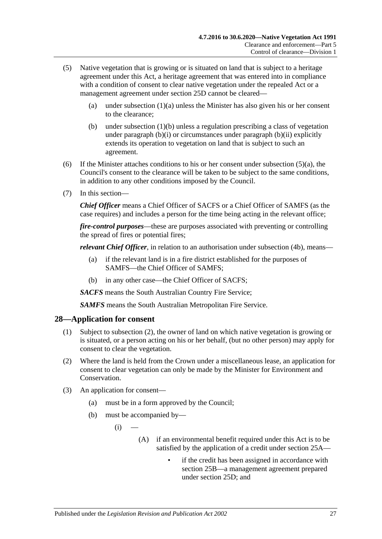- <span id="page-26-2"></span>(5) Native vegetation that is growing or is situated on land that is subject to a heritage agreement under this Act, a heritage agreement that was entered into in compliance with a condition of consent to clear native vegetation under the repealed Act or a management agreement under section 25D cannot be cleared
	- (a) under [subsection](#page-25-3)  $(1)(a)$  unless the Minister has also given his or her consent to the clearance;
	- (b) under [subsection](#page-25-7) (1)(b) unless a regulation prescribing a class of vegetation under [paragraph](#page-25-8) (b)(i) or circumstances under [paragraph](#page-25-9) (b)(ii) explicitly extends its operation to vegetation on land that is subject to such an agreement.
- <span id="page-26-1"></span>(6) If the Minister attaches conditions to his or her consent under [subsection](#page-26-2)  $(5)(a)$ , the Council's consent to the clearance will be taken to be subject to the same conditions, in addition to any other conditions imposed by the Council.
- (7) In this section—

*Chief Officer* means a Chief Officer of SACFS or a Chief Officer of SAMFS (as the case requires) and includes a person for the time being acting in the relevant office;

*fire-control purposes*—these are purposes associated with preventing or controlling the spread of fires or potential fires;

*relevant Chief Officer*, in relation to an authorisation under [subsection](#page-25-5) (4b), means—

- (a) if the relevant land is in a fire district established for the purposes of SAMFS—the Chief Officer of SAMFS;
- (b) in any other case—the Chief Officer of SACFS;

*SACFS* means the South Australian Country Fire Service;

*SAMFS* means the South Australian Metropolitan Fire Service.

#### <span id="page-26-0"></span>**28—Application for consent**

- (1) Subject to [subsection](#page-26-3) (2), the owner of land on which native vegetation is growing or is situated, or a person acting on his or her behalf, (but no other person) may apply for consent to clear the vegetation.
- <span id="page-26-3"></span>(2) Where the land is held from the Crown under a miscellaneous lease, an application for consent to clear vegetation can only be made by the Minister for Environment and Conservation.
- (3) An application for consent—
	- (a) must be in a form approved by the Council;
	- (b) must be accompanied by—
		- $(i)$ 
			- (A) if an environmental benefit required under this Act is to be satisfied by the application of a credit under [section](#page-19-1) 25A
				- if the credit has been assigned in accordance with [section](#page-20-0) 25B—a management agreement prepared under [section](#page-22-0) 25D; and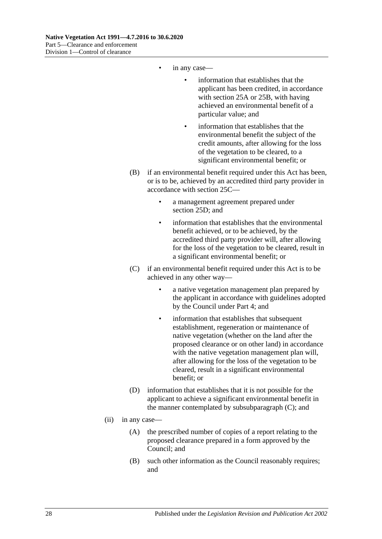- in any case—
	- information that establishes that the applicant has been credited, in accordance with [section](#page-19-1) 25A or [25B,](#page-20-0) with having achieved an environmental benefit of a particular value; and
	- information that establishes that the environmental benefit the subject of the credit amounts, after allowing for the loss of the vegetation to be cleared, to a significant environmental benefit; or
- (B) if an environmental benefit required under this Act has been, or is to be, achieved by an accredited third party provider in accordance with [section](#page-21-0) 25C—
	- a management agreement prepared under [section](#page-22-0) 25D; and
	- information that establishes that the environmental benefit achieved, or to be achieved, by the accredited third party provider will, after allowing for the loss of the vegetation to be cleared, result in a significant environmental benefit; or
- (C) if an environmental benefit required under this Act is to be achieved in any other way
	- a native vegetation management plan prepared by the applicant in accordance with guidelines adopted by the Council under [Part 4;](#page-14-1) and
	- information that establishes that subsequent establishment, regeneration or maintenance of native vegetation (whether on the land after the proposed clearance or on other land) in accordance with the native vegetation management plan will, after allowing for the loss of the vegetation to be cleared, result in a significant environmental benefit; or
- (D) information that establishes that it is not possible for the applicant to achieve a significant environmental benefit in the manner contemplated by subsubparagraph (C); and
- <span id="page-27-1"></span><span id="page-27-0"></span>(ii) in any case—
	- (A) the prescribed number of copies of a report relating to the proposed clearance prepared in a form approved by the Council; and
	- (B) such other information as the Council reasonably requires; and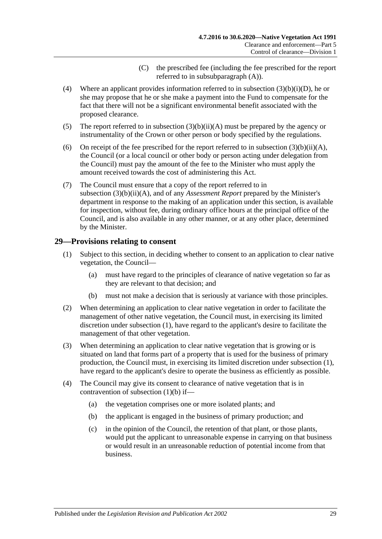- (C) the prescribed fee (including the fee prescribed for the report referred to in subsubparagraph (A)).
- <span id="page-28-2"></span><span id="page-28-1"></span>(4) Where an applicant provides information referred to in subsection [\(3\)\(b\)\(i\)\(D\),](#page-27-1) he or she may propose that he or she make a payment into the Fund to compensate for the fact that there will not be a significant environmental benefit associated with the proposed clearance.
- <span id="page-28-5"></span>(5) The report referred to in subsection  $(3)(b)(ii)(A)$  must be prepared by the agency or instrumentality of the Crown or other person or body specified by the regulations.
- (6) On receipt of the fee prescribed for the report referred to in subsection  $(3)(b)(ii)(A)$ , the Council (or a local council or other body or person acting under delegation from the Council) must pay the amount of the fee to the Minister who must apply the amount received towards the cost of administering this Act.
- (7) The Council must ensure that a copy of the report referred to in subsection [\(3\)\(b\)\(ii\)\(A\),](#page-27-0) and of any *Assessment Report* prepared by the Minister's department in response to the making of an application under this section, is available for inspection, without fee, during ordinary office hours at the principal office of the Council, and is also available in any other manner, or at any other place, determined by the Minister.

### <span id="page-28-3"></span><span id="page-28-0"></span>**29—Provisions relating to consent**

- (1) Subject to this section, in deciding whether to consent to an application to clear native vegetation, the Council—
	- (a) must have regard to the principles of clearance of native vegetation so far as they are relevant to that decision; and
	- (b) must not make a decision that is seriously at variance with those principles.
- <span id="page-28-4"></span>(2) When determining an application to clear native vegetation in order to facilitate the management of other native vegetation, the Council must, in exercising its limited discretion under [subsection](#page-28-3) (1), have regard to the applicant's desire to facilitate the management of that other vegetation.
- (3) When determining an application to clear native vegetation that is growing or is situated on land that forms part of a property that is used for the business of primary production, the Council must, in exercising its limited discretion under [subsection](#page-28-3) (1), have regard to the applicant's desire to operate the business as efficiently as possible.
- (4) The Council may give its consent to clearance of native vegetation that is in contravention of [subsection](#page-28-4) (1)(b) if—
	- (a) the vegetation comprises one or more isolated plants; and
	- (b) the applicant is engaged in the business of primary production; and
	- (c) in the opinion of the Council, the retention of that plant, or those plants, would put the applicant to unreasonable expense in carrying on that business or would result in an unreasonable reduction of potential income from that business.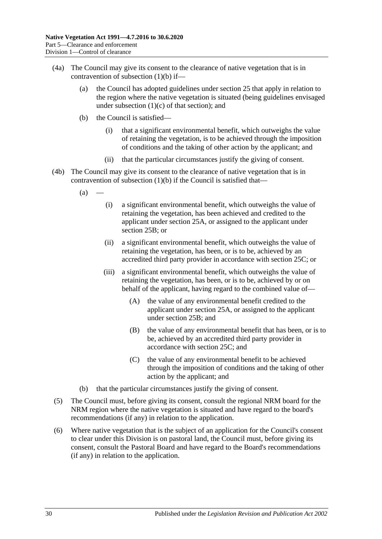- <span id="page-29-0"></span>(4a) The Council may give its consent to the clearance of native vegetation that is in contravention of [subsection](#page-28-4) (1)(b) if—
	- (a) the Council has adopted guidelines under [section](#page-18-0) 25 that apply in relation to the region where the native vegetation is situated (being guidelines envisaged under [subsection](#page-18-4)  $(1)(c)$  of that section); and
	- (b) the Council is satisfied—
		- (i) that a significant environmental benefit, which outweighs the value of retaining the vegetation, is to be achieved through the imposition of conditions and the taking of other action by the applicant; and
		- (ii) that the particular circumstances justify the giving of consent.
- <span id="page-29-4"></span><span id="page-29-3"></span><span id="page-29-2"></span>(4b) The Council may give its consent to the clearance of native vegetation that is in contravention of [subsection](#page-28-4)  $(1)(b)$  if the Council is satisfied that—
	- $(a)$ 
		- (i) a significant environmental benefit, which outweighs the value of retaining the vegetation, has been achieved and credited to the applicant under [section](#page-19-1) 25A, or assigned to the applicant under [section](#page-20-0) 25B; or
		- (ii) a significant environmental benefit, which outweighs the value of retaining the vegetation, has been, or is to be, achieved by an accredited third party provider in accordance with [section](#page-21-0) 25C; or
		- (iii) a significant environmental benefit, which outweighs the value of retaining the vegetation, has been, or is to be, achieved by or on behalf of the applicant, having regard to the combined value of—
			- (A) the value of any environmental benefit credited to the applicant under [section](#page-19-1) 25A, or assigned to the applicant under [section](#page-20-0) 25B; and
			- (B) the value of any environmental benefit that has been, or is to be, achieved by an accredited third party provider in accordance with [section](#page-21-0) 25C; and
			- (C) the value of any environmental benefit to be achieved through the imposition of conditions and the taking of other action by the applicant; and
	- (b) that the particular circumstances justify the giving of consent.
- (5) The Council must, before giving its consent, consult the regional NRM board for the NRM region where the native vegetation is situated and have regard to the board's recommendations (if any) in relation to the application.
- <span id="page-29-1"></span>(6) Where native vegetation that is the subject of an application for the Council's consent to clear under this Division is on pastoral land, the Council must, before giving its consent, consult the Pastoral Board and have regard to the Board's recommendations (if any) in relation to the application.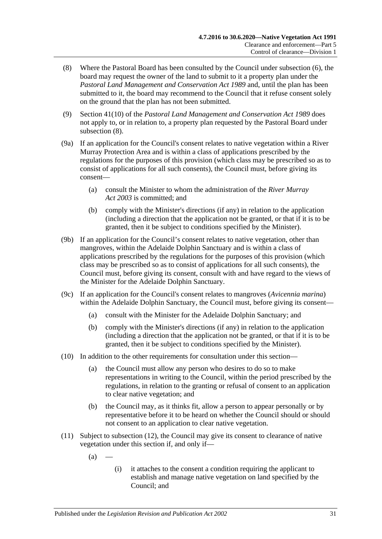- <span id="page-30-0"></span>(8) Where the Pastoral Board has been consulted by the Council under [subsection](#page-29-1) (6), the board may request the owner of the land to submit to it a property plan under the *[Pastoral Land Management and Conservation Act](http://www.legislation.sa.gov.au/index.aspx?action=legref&type=act&legtitle=Pastoral%20Land%20Management%20and%20Conservation%20Act%201989) 1989* and, until the plan has been submitted to it, the board may recommend to the Council that it refuse consent solely on the ground that the plan has not been submitted.
- (9) Section 41(10) of the *[Pastoral Land Management and Conservation Act](http://www.legislation.sa.gov.au/index.aspx?action=legref&type=act&legtitle=Pastoral%20Land%20Management%20and%20Conservation%20Act%201989) 1989* does not apply to, or in relation to, a property plan requested by the Pastoral Board under [subsection](#page-30-0) (8).
- (9a) If an application for the Council's consent relates to native vegetation within a River Murray Protection Area and is within a class of applications prescribed by the regulations for the purposes of this provision (which class may be prescribed so as to consist of applications for all such consents), the Council must, before giving its consent—
	- (a) consult the Minister to whom the administration of the *[River Murray](http://www.legislation.sa.gov.au/index.aspx?action=legref&type=act&legtitle=River%20Murray%20Act%202003)  Act [2003](http://www.legislation.sa.gov.au/index.aspx?action=legref&type=act&legtitle=River%20Murray%20Act%202003)* is committed; and
	- (b) comply with the Minister's directions (if any) in relation to the application (including a direction that the application not be granted, or that if it is to be granted, then it be subject to conditions specified by the Minister).
- (9b) If an application for the Council's consent relates to native vegetation, other than mangroves, within the Adelaide Dolphin Sanctuary and is within a class of applications prescribed by the regulations for the purposes of this provision (which class may be prescribed so as to consist of applications for all such consents), the Council must, before giving its consent, consult with and have regard to the views of the Minister for the Adelaide Dolphin Sanctuary.
- (9c) If an application for the Council's consent relates to mangroves (*Avicennia marina*) within the Adelaide Dolphin Sanctuary, the Council must, before giving its consent—
	- (a) consult with the Minister for the Adelaide Dolphin Sanctuary; and
	- (b) comply with the Minister's directions (if any) in relation to the application (including a direction that the application not be granted, or that if it is to be granted, then it be subject to conditions specified by the Minister).
- (10) In addition to the other requirements for consultation under this section—
	- (a) the Council must allow any person who desires to do so to make representations in writing to the Council, within the period prescribed by the regulations, in relation to the granting or refusal of consent to an application to clear native vegetation; and
	- (b) the Council may, as it thinks fit, allow a person to appear personally or by representative before it to be heard on whether the Council should or should not consent to an application to clear native vegetation.
- <span id="page-30-1"></span>(11) Subject to [subsection](#page-31-1) (12), the Council may give its consent to clearance of native vegetation under this section if, and only if—
	- $(a)$
- (i) it attaches to the consent a condition requiring the applicant to establish and manage native vegetation on land specified by the Council; and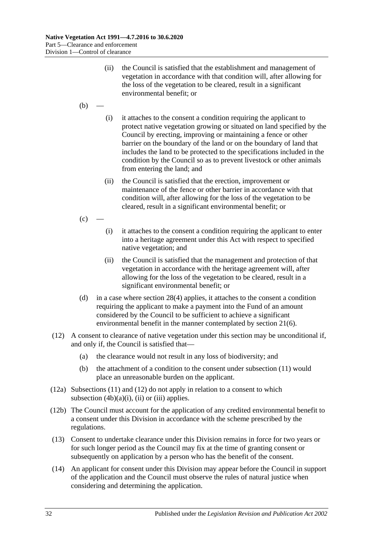- (ii) the Council is satisfied that the establishment and management of vegetation in accordance with that condition will, after allowing for the loss of the vegetation to be cleared, result in a significant environmental benefit; or
- $(b)$
- (i) it attaches to the consent a condition requiring the applicant to protect native vegetation growing or situated on land specified by the Council by erecting, improving or maintaining a fence or other barrier on the boundary of the land or on the boundary of land that includes the land to be protected to the specifications included in the condition by the Council so as to prevent livestock or other animals from entering the land; and
- (ii) the Council is satisfied that the erection, improvement or maintenance of the fence or other barrier in accordance with that condition will, after allowing for the loss of the vegetation to be cleared, result in a significant environmental benefit; or
- $(c)$ 
	- (i) it attaches to the consent a condition requiring the applicant to enter into a heritage agreement under this Act with respect to specified native vegetation; and
	- (ii) the Council is satisfied that the management and protection of that vegetation in accordance with the heritage agreement will, after allowing for the loss of the vegetation to be cleared, result in a significant environmental benefit; or
- <span id="page-31-0"></span>(d) in a case where [section](#page-28-2) 28(4) applies, it attaches to the consent a condition requiring the applicant to make a payment into the Fund of an amount considered by the Council to be sufficient to achieve a significant environmental benefit in the manner contemplated by [section](#page-13-5) 21(6).
- <span id="page-31-1"></span>(12) A consent to clearance of native vegetation under this section may be unconditional if, and only if, the Council is satisfied that—
	- (a) the clearance would not result in any loss of biodiversity; and
	- (b) the attachment of a condition to the consent under [subsection](#page-30-1) (11) would place an unreasonable burden on the applicant.
- (12a) [Subsections](#page-30-1) (11) and [\(12\)](#page-31-1) do not apply in relation to a consent to which [subsection](#page-29-2)  $(4b)(a)(i)$ ,  $(ii)$  or  $(iii)$  applies.
- (12b) The Council must account for the application of any credited environmental benefit to a consent under this Division in accordance with the scheme prescribed by the regulations.
- (13) Consent to undertake clearance under this Division remains in force for two years or for such longer period as the Council may fix at the time of granting consent or subsequently on application by a person who has the benefit of the consent.
- (14) An applicant for consent under this Division may appear before the Council in support of the application and the Council must observe the rules of natural justice when considering and determining the application.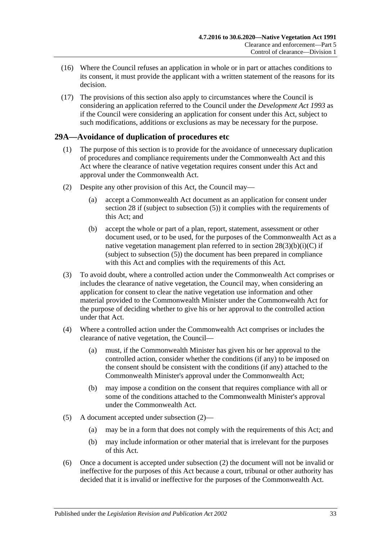- (16) Where the Council refuses an application in whole or in part or attaches conditions to its consent, it must provide the applicant with a written statement of the reasons for its decision.
- (17) The provisions of this section also apply to circumstances where the Council is considering an application referred to the Council under the *[Development Act](http://www.legislation.sa.gov.au/index.aspx?action=legref&type=act&legtitle=Development%20Act%201993) 1993* as if the Council were considering an application for consent under this Act, subject to such modifications, additions or exclusions as may be necessary for the purpose.

## <span id="page-32-0"></span>**29A—Avoidance of duplication of procedures etc**

- (1) The purpose of this section is to provide for the avoidance of unnecessary duplication of procedures and compliance requirements under the Commonwealth Act and this Act where the clearance of native vegetation requires consent under this Act and approval under the Commonwealth Act.
- <span id="page-32-1"></span>(2) Despite any other provision of this Act, the Council may—
	- (a) accept a Commonwealth Act document as an application for consent under [section](#page-26-0) 28 if (subject to [subsection](#page-28-5) (5)) it complies with the requirements of this Act; and
	- (b) accept the whole or part of a plan, report, statement, assessment or other document used, or to be used, for the purposes of the Commonwealth Act as a native vegetation management plan referred to in section  $28(3)(b)(i)(C)$  if (subject to [subsection](#page-28-5) (5)) the document has been prepared in compliance with this Act and complies with the requirements of this Act.
- (3) To avoid doubt, where a controlled action under the Commonwealth Act comprises or includes the clearance of native vegetation, the Council may, when considering an application for consent to clear the native vegetation use information and other material provided to the Commonwealth Minister under the Commonwealth Act for the purpose of deciding whether to give his or her approval to the controlled action under that Act.
- (4) Where a controlled action under the Commonwealth Act comprises or includes the clearance of native vegetation, the Council—
	- (a) must, if the Commonwealth Minister has given his or her approval to the controlled action, consider whether the conditions (if any) to be imposed on the consent should be consistent with the conditions (if any) attached to the Commonwealth Minister's approval under the Commonwealth Act;
	- (b) may impose a condition on the consent that requires compliance with all or some of the conditions attached to the Commonwealth Minister's approval under the Commonwealth Act.
- (5) A document accepted under [subsection](#page-32-1) (2)—
	- (a) may be in a form that does not comply with the requirements of this Act; and
	- (b) may include information or other material that is irrelevant for the purposes of this Act.
- (6) Once a document is accepted under [subsection](#page-32-1) (2) the document will not be invalid or ineffective for the purposes of this Act because a court, tribunal or other authority has decided that it is invalid or ineffective for the purposes of the Commonwealth Act.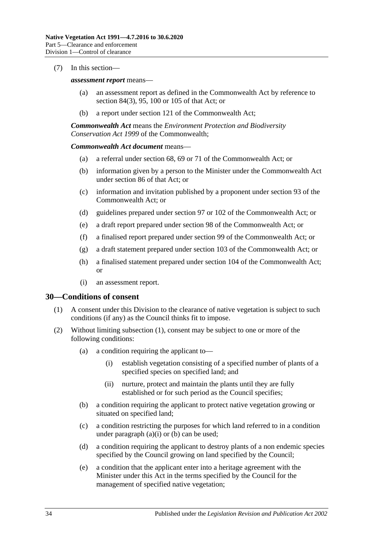#### (7) In this section—

#### *assessment report* means—

- (a) an assessment report as defined in the Commonwealth Act by reference to section 84(3), 95, 100 or 105 of that Act; or
- (b) a report under section 121 of the Commonwealth Act;

*Commonwealth Act* means the *Environment Protection and Biodiversity Conservation Act 1999* of the Commonwealth;

#### *Commonwealth Act document* means—

- (a) a referral under section 68, 69 or 71 of the Commonwealth Act; or
- (b) information given by a person to the Minister under the Commonwealth Act under section 86 of that Act; or
- (c) information and invitation published by a proponent under section 93 of the Commonwealth Act; or
- (d) guidelines prepared under section 97 or 102 of the Commonwealth Act; or
- (e) a draft report prepared under section 98 of the Commonwealth Act; or
- (f) a finalised report prepared under section 99 of the Commonwealth Act; or
- (g) a draft statement prepared under section 103 of the Commonwealth Act; or
- (h) a finalised statement prepared under section 104 of the Commonwealth Act; or
- (i) an assessment report.

#### <span id="page-33-1"></span><span id="page-33-0"></span>**30—Conditions of consent**

- (1) A consent under this Division to the clearance of native vegetation is subject to such conditions (if any) as the Council thinks fit to impose.
- <span id="page-33-5"></span><span id="page-33-4"></span><span id="page-33-3"></span><span id="page-33-2"></span>(2) Without limiting [subsection](#page-33-1) (1), consent may be subject to one or more of the following conditions:
	- (a) a condition requiring the applicant to—
		- (i) establish vegetation consisting of a specified number of plants of a specified species on specified land; and
		- (ii) nurture, protect and maintain the plants until they are fully established or for such period as the Council specifies;
	- (b) a condition requiring the applicant to protect native vegetation growing or situated on specified land;
	- (c) a condition restricting the purposes for which land referred to in a condition under [paragraph](#page-33-2)  $(a)(i)$  or  $(b)$  can be used;
	- (d) a condition requiring the applicant to destroy plants of a non endemic species specified by the Council growing on land specified by the Council;
	- (e) a condition that the applicant enter into a heritage agreement with the Minister under this Act in the terms specified by the Council for the management of specified native vegetation;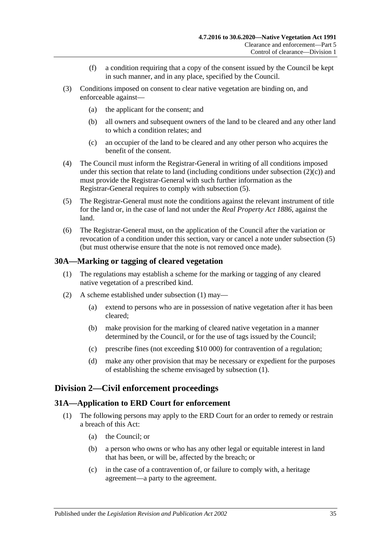- (f) a condition requiring that a copy of the consent issued by the Council be kept in such manner, and in any place, specified by the Council.
- (3) Conditions imposed on consent to clear native vegetation are binding on, and enforceable against—
	- (a) the applicant for the consent; and
	- (b) all owners and subsequent owners of the land to be cleared and any other land to which a condition relates; and
	- (c) an occupier of the land to be cleared and any other person who acquires the benefit of the consent.
- (4) The Council must inform the Registrar-General in writing of all conditions imposed under this section that relate to land (including conditions under [subsection](#page-33-4)  $(2)(c)$ ) and must provide the Registrar-General with such further information as the Registrar-General requires to comply with [subsection](#page-34-3) (5).
- <span id="page-34-3"></span>(5) The Registrar-General must note the conditions against the relevant instrument of title for the land or, in the case of land not under the *[Real Property Act](http://www.legislation.sa.gov.au/index.aspx?action=legref&type=act&legtitle=Real%20Property%20Act%201886) 1886*, against the land.
- (6) The Registrar-General must, on the application of the Council after the variation or revocation of a condition under this section, vary or cancel a note under [subsection](#page-34-3) (5) (but must otherwise ensure that the note is not removed once made).

#### <span id="page-34-4"></span><span id="page-34-0"></span>**30A—Marking or tagging of cleared vegetation**

- (1) The regulations may establish a scheme for the marking or tagging of any cleared native vegetation of a prescribed kind.
- (2) A scheme established under [subsection](#page-34-4) (1) may—
	- (a) extend to persons who are in possession of native vegetation after it has been cleared;
	- (b) make provision for the marking of cleared native vegetation in a manner determined by the Council, or for the use of tags issued by the Council;
	- (c) prescribe fines (not exceeding \$10 000) for contravention of a regulation;
	- (d) make any other provision that may be necessary or expedient for the purposes of establishing the scheme envisaged by [subsection](#page-34-4) (1).

### <span id="page-34-1"></span>**Division 2—Civil enforcement proceedings**

#### <span id="page-34-2"></span>**31A—Application to ERD Court for enforcement**

- (1) The following persons may apply to the ERD Court for an order to remedy or restrain a breach of this Act:
	- (a) the Council; or
	- (b) a person who owns or who has any other legal or equitable interest in land that has been, or will be, affected by the breach; or
	- (c) in the case of a contravention of, or failure to comply with, a heritage agreement—a party to the agreement.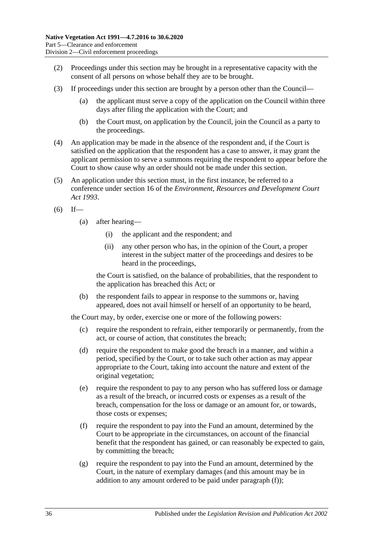- (2) Proceedings under this section may be brought in a representative capacity with the consent of all persons on whose behalf they are to be brought.
- (3) If proceedings under this section are brought by a person other than the Council—
	- (a) the applicant must serve a copy of the application on the Council within three days after filing the application with the Court; and
	- (b) the Court must, on application by the Council, join the Council as a party to the proceedings.
- (4) An application may be made in the absence of the respondent and, if the Court is satisfied on the application that the respondent has a case to answer, it may grant the applicant permission to serve a summons requiring the respondent to appear before the Court to show cause why an order should not be made under this section.
- <span id="page-35-3"></span>(5) An application under this section must, in the first instance, be referred to a conference under section 16 of the *[Environment, Resources and Development Court](http://www.legislation.sa.gov.au/index.aspx?action=legref&type=act&legtitle=Environment%20Resources%20and%20Development%20Court%20Act%201993)  Act [1993](http://www.legislation.sa.gov.au/index.aspx?action=legref&type=act&legtitle=Environment%20Resources%20and%20Development%20Court%20Act%201993)*.
- $(6)$  If—
	- (a) after hearing—
		- (i) the applicant and the respondent; and
		- (ii) any other person who has, in the opinion of the Court, a proper interest in the subject matter of the proceedings and desires to be heard in the proceedings,

the Court is satisfied, on the balance of probabilities, that the respondent to the application has breached this Act; or

(b) the respondent fails to appear in response to the summons or, having appeared, does not avail himself or herself of an opportunity to be heard,

the Court may, by order, exercise one or more of the following powers:

- (c) require the respondent to refrain, either temporarily or permanently, from the act, or course of action, that constitutes the breach;
- <span id="page-35-2"></span>(d) require the respondent to make good the breach in a manner, and within a period, specified by the Court, or to take such other action as may appear appropriate to the Court, taking into account the nature and extent of the original vegetation;
- (e) require the respondent to pay to any person who has suffered loss or damage as a result of the breach, or incurred costs or expenses as a result of the breach, compensation for the loss or damage or an amount for, or towards, those costs or expenses;
- <span id="page-35-0"></span>(f) require the respondent to pay into the Fund an amount, determined by the Court to be appropriate in the circumstances, on account of the financial benefit that the respondent has gained, or can reasonably be expected to gain, by committing the breach;
- <span id="page-35-1"></span>(g) require the respondent to pay into the Fund an amount, determined by the Court, in the nature of exemplary damages (and this amount may be in addition to any amount ordered to be paid under [paragraph](#page-35-0) (f));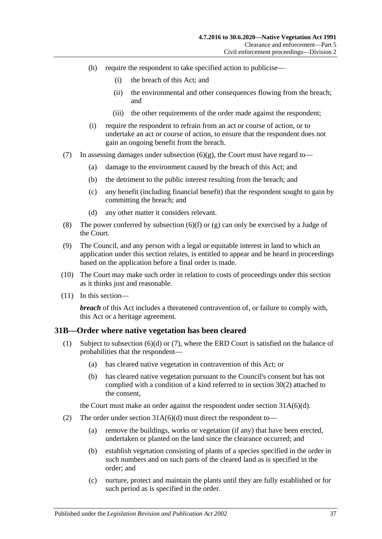- (h) require the respondent to take specified action to publicise—
	- (i) the breach of this Act; and
	- (ii) the environmental and other consequences flowing from the breach; and
	- (iii) the other requirements of the order made against the respondent;
- (i) require the respondent to refrain from an act or course of action, or to undertake an act or course of action, to ensure that the respondent does not gain an ongoing benefit from the breach.
- (7) In assessing damages under [subsection](#page-35-1)  $(6)(g)$ , the Court must have regard to-
	- (a) damage to the environment caused by the breach of this Act; and
	- (b) the detriment to the public interest resulting from the breach; and
	- (c) any benefit (including financial benefit) that the respondent sought to gain by committing the breach; and
	- (d) any other matter it considers relevant.
- (8) The power conferred by [subsection](#page-35-0) (6)(f) or [\(g\)](#page-35-1) can only be exercised by a Judge of the Court.
- (9) The Council, and any person with a legal or equitable interest in land to which an application under this section relates, is entitled to appear and be heard in proceedings based on the application before a final order is made.
- (10) The Court may make such order in relation to costs of proceedings under this section as it thinks just and reasonable.
- (11) In this section—

*breach* of this Act includes a threatened contravention of, or failure to comply with, this Act or a heritage agreement.

### <span id="page-36-1"></span><span id="page-36-0"></span>**31B—Order where native vegetation has been cleared**

- (1) Subject to [subsection](#page-37-0) (6)(d) or [\(7\),](#page-37-1) where the ERD Court is satisfied on the balance of probabilities that the respondent—
	- (a) has cleared native vegetation in contravention of this Act; or
	- (b) has cleared native vegetation pursuant to the Council's consent but has not complied with a condition of a kind referred to in [section](#page-33-5) 30(2) attached to the consent,

the Court must make an order against the respondent under section [31A\(6\)\(d\).](#page-35-2)

- (2) The order under section  $31A(6)(d)$  must direct the respondent to-
	- (a) remove the buildings, works or vegetation (if any) that have been erected, undertaken or planted on the land since the clearance occurred; and
	- (b) establish vegetation consisting of plants of a species specified in the order in such numbers and on such parts of the cleared land as is specified in the order; and
	- (c) nurture, protect and maintain the plants until they are fully established or for such period as is specified in the order.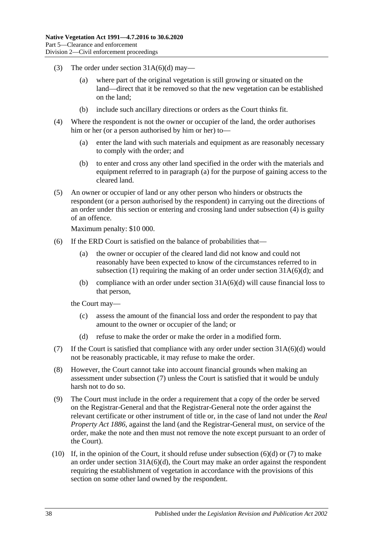- (3) The order under section  $31A(6)(d)$  may—
	- (a) where part of the original vegetation is still growing or situated on the land—direct that it be removed so that the new vegetation can be established on the land;
	- (b) include such ancillary directions or orders as the Court thinks fit.
- <span id="page-37-3"></span><span id="page-37-2"></span>(4) Where the respondent is not the owner or occupier of the land, the order authorises him or her (or a person authorised by him or her) to—
	- (a) enter the land with such materials and equipment as are reasonably necessary to comply with the order; and
	- (b) to enter and cross any other land specified in the order with the materials and equipment referred to in [paragraph](#page-37-2) (a) for the purpose of gaining access to the cleared land.
- <span id="page-37-4"></span>(5) An owner or occupier of land or any other person who hinders or obstructs the respondent (or a person authorised by the respondent) in carrying out the directions of an order under this section or entering and crossing land under [subsection](#page-37-3) (4) is guilty of an offence.

Maximum penalty: \$10 000.

- (6) If the ERD Court is satisfied on the balance of probabilities that—
	- (a) the owner or occupier of the cleared land did not know and could not reasonably have been expected to know of the circumstances referred to in [subsection](#page-36-1) (1) requiring the making of an order under section  $31A(6)(d)$ ; and
	- (b) compliance with an order under section  $31A(6)(d)$  will cause financial loss to that person,

the Court may—

- (c) assess the amount of the financial loss and order the respondent to pay that amount to the owner or occupier of the land; or
- (d) refuse to make the order or make the order in a modified form.
- <span id="page-37-1"></span><span id="page-37-0"></span>(7) If the Court is satisfied that compliance with any order under section  $31A(6)(d)$  would not be reasonably practicable, it may refuse to make the order.
- (8) However, the Court cannot take into account financial grounds when making an assessment under [subsection](#page-37-1) (7) unless the Court is satisfied that it would be unduly harsh not to do so.
- (9) The Court must include in the order a requirement that a copy of the order be served on the Registrar-General and that the Registrar-General note the order against the relevant certificate or other instrument of title or, in the case of land not under the *[Real](http://www.legislation.sa.gov.au/index.aspx?action=legref&type=act&legtitle=Real%20Property%20Act%201886)  [Property Act](http://www.legislation.sa.gov.au/index.aspx?action=legref&type=act&legtitle=Real%20Property%20Act%201886) 1886*, against the land (and the Registrar-General must, on service of the order, make the note and then must not remove the note except pursuant to an order of the Court).
- (10) If, in the opinion of the Court, it should refuse under [subsection](#page-37-0) (6)(d) or [\(7\)](#page-37-1) to make an order under section  $31A(6)(d)$ , the Court may make an order against the respondent requiring the establishment of vegetation in accordance with the provisions of this section on some other land owned by the respondent.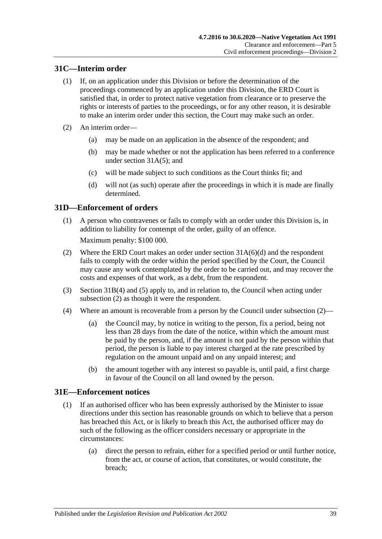## <span id="page-38-0"></span>**31C—Interim order**

- (1) If, on an application under this Division or before the determination of the proceedings commenced by an application under this Division, the ERD Court is satisfied that, in order to protect native vegetation from clearance or to preserve the rights or interests of parties to the proceedings, or for any other reason, it is desirable to make an interim order under this section, the Court may make such an order.
- (2) An interim order—
	- (a) may be made on an application in the absence of the respondent; and
	- (b) may be made whether or not the application has been referred to a conference under section [31A\(5\);](#page-35-3) and
	- (c) will be made subject to such conditions as the Court thinks fit; and
	- (d) will not (as such) operate after the proceedings in which it is made are finally determined.

### <span id="page-38-1"></span>**31D—Enforcement of orders**

(1) A person who contravenes or fails to comply with an order under this Division is, in addition to liability for contempt of the order, guilty of an offence.

Maximum penalty: \$100 000.

- <span id="page-38-3"></span>(2) Where the ERD Court makes an order under section [31A\(6\)\(d\)](#page-35-2) and the respondent fails to comply with the order within the period specified by the Court, the Council may cause any work contemplated by the order to be carried out, and may recover the costs and expenses of that work, as a debt, from the respondent.
- (3) [Section](#page-37-3) 31B(4) and [\(5\)](#page-37-4) apply to, and in relation to, the Council when acting under [subsection](#page-38-3) (2) as though it were the respondent.
- <span id="page-38-5"></span>(4) Where an amount is recoverable from a person by the Council under [subsection](#page-38-3) (2)—
	- (a) the Council may, by notice in writing to the person, fix a period, being not less than 28 days from the date of the notice, within which the amount must be paid by the person, and, if the amount is not paid by the person within that period, the person is liable to pay interest charged at the rate prescribed by regulation on the amount unpaid and on any unpaid interest; and
	- (b) the amount together with any interest so payable is, until paid, a first charge in favour of the Council on all land owned by the person.

### <span id="page-38-4"></span><span id="page-38-2"></span>**31E—Enforcement notices**

- (1) If an authorised officer who has been expressly authorised by the Minister to issue directions under this section has reasonable grounds on which to believe that a person has breached this Act, or is likely to breach this Act, the authorised officer may do such of the following as the officer considers necessary or appropriate in the circumstances:
	- (a) direct the person to refrain, either for a specified period or until further notice, from the act, or course of action, that constitutes, or would constitute, the breach;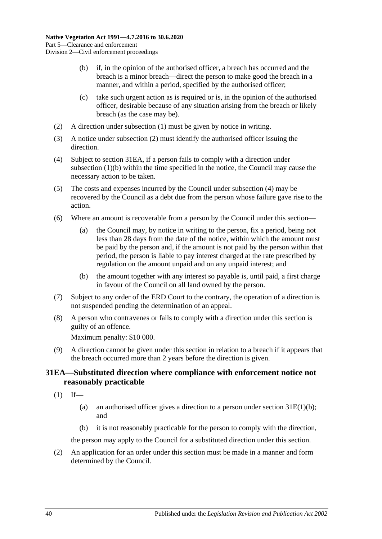- <span id="page-39-2"></span>(b) if, in the opinion of the authorised officer, a breach has occurred and the breach is a minor breach—direct the person to make good the breach in a manner, and within a period, specified by the authorised officer;
- (c) take such urgent action as is required or is, in the opinion of the authorised officer, desirable because of any situation arising from the breach or likely breach (as the case may be).
- <span id="page-39-1"></span>(2) A direction under [subsection](#page-38-4) (1) must be given by notice in writing.
- (3) A notice under [subsection](#page-39-1) (2) must identify the authorised officer issuing the direction.
- <span id="page-39-3"></span>(4) Subject to [section](#page-39-0) 31EA, if a person fails to comply with a direction under [subsection](#page-39-2) (1)(b) within the time specified in the notice, the Council may cause the necessary action to be taken.
- (5) The costs and expenses incurred by the Council under [subsection](#page-39-3) (4) may be recovered by the Council as a debt due from the person whose failure gave rise to the action.
- <span id="page-39-5"></span>(6) Where an amount is recoverable from a person by the Council under this section—
	- (a) the Council may, by notice in writing to the person, fix a period, being not less than 28 days from the date of the notice, within which the amount must be paid by the person and, if the amount is not paid by the person within that period, the person is liable to pay interest charged at the rate prescribed by regulation on the amount unpaid and on any unpaid interest; and
	- (b) the amount together with any interest so payable is, until paid, a first charge in favour of the Council on all land owned by the person.
- (7) Subject to any order of the ERD Court to the contrary, the operation of a direction is not suspended pending the determination of an appeal.
- (8) A person who contravenes or fails to comply with a direction under this section is guilty of an offence.

Maximum penalty: \$10 000.

<span id="page-39-4"></span>(9) A direction cannot be given under this section in relation to a breach if it appears that the breach occurred more than 2 years before the direction is given.

## <span id="page-39-0"></span>**31EA—Substituted direction where compliance with enforcement notice not reasonably practicable**

- $(1)$  If—
	- (a) an authorised officer gives a direction to a person under section  $31E(1)(b)$ ; and
	- (b) it is not reasonably practicable for the person to comply with the direction,

the person may apply to the Council for a substituted direction under this section.

(2) An application for an order under this section must be made in a manner and form determined by the Council.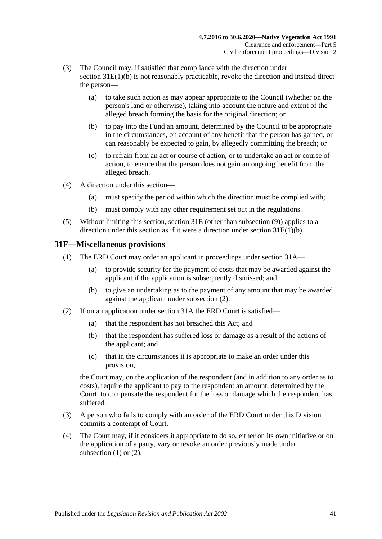- (3) The Council may, if satisfied that compliance with the direction under section [31E\(1\)\(b\)](#page-39-2) is not reasonably practicable, revoke the direction and instead direct the person—
	- (a) to take such action as may appear appropriate to the Council (whether on the person's land or otherwise), taking into account the nature and extent of the alleged breach forming the basis for the original direction; or
	- (b) to pay into the Fund an amount, determined by the Council to be appropriate in the circumstances, on account of any benefit that the person has gained, or can reasonably be expected to gain, by allegedly committing the breach; or
	- (c) to refrain from an act or course of action, or to undertake an act or course of action, to ensure that the person does not gain an ongoing benefit from the alleged breach.
- (4) A direction under this section—
	- (a) must specify the period within which the direction must be complied with;
	- (b) must comply with any other requirement set out in the regulations.
- (5) Without limiting this section, [section](#page-38-2) 31E (other than [subsection](#page-39-4) (9)) applies to a direction under this section as if it were a direction under section [31E\(1\)\(b\).](#page-39-2)

### <span id="page-40-2"></span><span id="page-40-0"></span>**31F—Miscellaneous provisions**

- (1) The ERD Court may order an applicant in proceedings under [section](#page-34-2) 31A—
	- (a) to provide security for the payment of costs that may be awarded against the applicant if the application is subsequently dismissed; and
	- (b) to give an undertaking as to the payment of any amount that may be awarded against the applicant under [subsection](#page-40-1) (2).
- <span id="page-40-1"></span>(2) If on an application under [section](#page-34-2) 31A the ERD Court is satisfied—
	- (a) that the respondent has not breached this Act; and
	- (b) that the respondent has suffered loss or damage as a result of the actions of the applicant; and
	- (c) that in the circumstances it is appropriate to make an order under this provision,

the Court may, on the application of the respondent (and in addition to any order as to costs), require the applicant to pay to the respondent an amount, determined by the Court, to compensate the respondent for the loss or damage which the respondent has suffered.

- (3) A person who fails to comply with an order of the ERD Court under this Division commits a contempt of Court.
- (4) The Court may, if it considers it appropriate to do so, either on its own initiative or on the application of a party, vary or revoke an order previously made under [subsection](#page-40-2)  $(1)$  or  $(2)$ .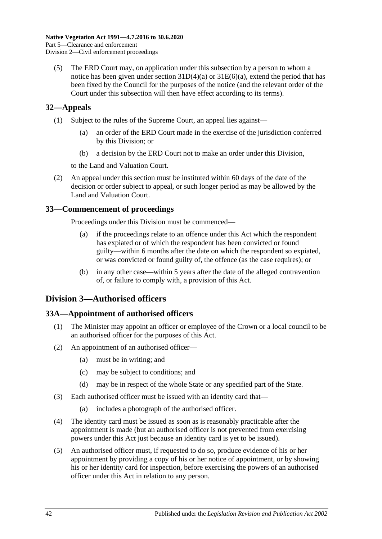(5) The ERD Court may, on application under this subsection by a person to whom a notice has been given under section  $31D(4)(a)$  or  $31E(6)(a)$ , extend the period that has been fixed by the Council for the purposes of the notice (and the relevant order of the Court under this subsection will then have effect according to its terms).

## <span id="page-41-0"></span>**32—Appeals**

- (1) Subject to the rules of the Supreme Court, an appeal lies against—
	- (a) an order of the ERD Court made in the exercise of the jurisdiction conferred by this Division; or
	- (b) a decision by the ERD Court not to make an order under this Division,

to the Land and Valuation Court.

(2) An appeal under this section must be instituted within 60 days of the date of the decision or order subject to appeal, or such longer period as may be allowed by the Land and Valuation Court.

## <span id="page-41-1"></span>**33—Commencement of proceedings**

Proceedings under this Division must be commenced—

- (a) if the proceedings relate to an offence under this Act which the respondent has expiated or of which the respondent has been convicted or found guilty—within 6 months after the date on which the respondent so expiated, or was convicted or found guilty of, the offence (as the case requires); or
- (b) in any other case—within 5 years after the date of the alleged contravention of, or failure to comply with, a provision of this Act.

## <span id="page-41-2"></span>**Division 3—Authorised officers**

### <span id="page-41-3"></span>**33A—Appointment of authorised officers**

- (1) The Minister may appoint an officer or employee of the Crown or a local council to be an authorised officer for the purposes of this Act.
- (2) An appointment of an authorised officer—
	- (a) must be in writing; and
	- (c) may be subject to conditions; and
	- (d) may be in respect of the whole State or any specified part of the State.
- (3) Each authorised officer must be issued with an identity card that—
	- (a) includes a photograph of the authorised officer.
- (4) The identity card must be issued as soon as is reasonably practicable after the appointment is made (but an authorised officer is not prevented from exercising powers under this Act just because an identity card is yet to be issued).
- (5) An authorised officer must, if requested to do so, produce evidence of his or her appointment by providing a copy of his or her notice of appointment, or by showing his or her identity card for inspection, before exercising the powers of an authorised officer under this Act in relation to any person.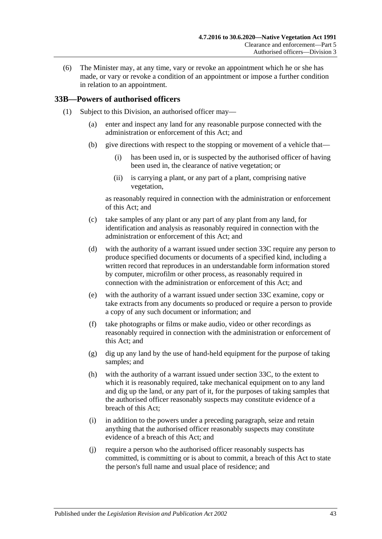(6) The Minister may, at any time, vary or revoke an appointment which he or she has made, or vary or revoke a condition of an appointment or impose a further condition in relation to an appointment.

#### <span id="page-42-2"></span><span id="page-42-0"></span>**33B—Powers of authorised officers**

- <span id="page-42-1"></span>(1) Subject to this Division, an authorised officer may—
	- (a) enter and inspect any land for any reasonable purpose connected with the administration or enforcement of this Act; and
	- (b) give directions with respect to the stopping or movement of a vehicle that—
		- (i) has been used in, or is suspected by the authorised officer of having been used in, the clearance of native vegetation; or
		- (ii) is carrying a plant, or any part of a plant, comprising native vegetation,

as reasonably required in connection with the administration or enforcement of this Act; and

- (c) take samples of any plant or any part of any plant from any land, for identification and analysis as reasonably required in connection with the administration or enforcement of this Act; and
- <span id="page-42-3"></span>(d) with the authority of a warrant issued under [section](#page-44-0) 33C require any person to produce specified documents or documents of a specified kind, including a written record that reproduces in an understandable form information stored by computer, microfilm or other process, as reasonably required in connection with the administration or enforcement of this Act; and
- <span id="page-42-4"></span>(e) with the authority of a warrant issued under [section](#page-44-0) 33C examine, copy or take extracts from any documents so produced or require a person to provide a copy of any such document or information; and
- (f) take photographs or films or make audio, video or other recordings as reasonably required in connection with the administration or enforcement of this Act; and
- (g) dig up any land by the use of hand-held equipment for the purpose of taking samples; and
- <span id="page-42-5"></span>(h) with the authority of a warrant issued under [section](#page-44-0) 33C, to the extent to which it is reasonably required, take mechanical equipment on to any land and dig up the land, or any part of it, for the purposes of taking samples that the authorised officer reasonably suspects may constitute evidence of a breach of this Act;
- (i) in addition to the powers under a preceding paragraph, seize and retain anything that the authorised officer reasonably suspects may constitute evidence of a breach of this Act; and
- (j) require a person who the authorised officer reasonably suspects has committed, is committing or is about to commit, a breach of this Act to state the person's full name and usual place of residence; and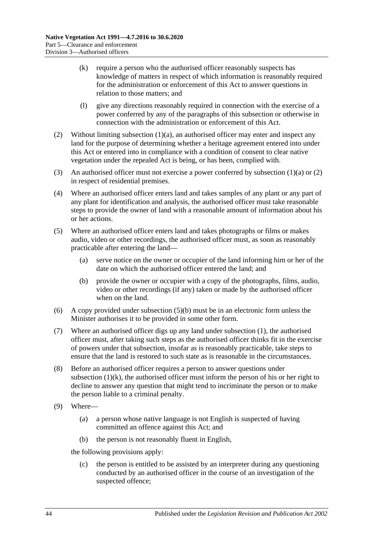- <span id="page-43-2"></span>(k) require a person who the authorised officer reasonably suspects has knowledge of matters in respect of which information is reasonably required for the administration or enforcement of this Act to answer questions in relation to those matters; and
- (l) give any directions reasonably required in connection with the exercise of a power conferred by any of the paragraphs of this subsection or otherwise in connection with the administration or enforcement of this Act.
- <span id="page-43-0"></span>(2) Without limiting [subsection](#page-42-1) (1)(a), an authorised officer may enter and inspect any land for the purpose of determining whether a heritage agreement entered into under this Act or entered into in compliance with a condition of consent to clear native vegetation under the repealed Act is being, or has been, complied with.
- (3) An authorised officer must not exercise a power conferred by [subsection](#page-42-1)  $(1)(a)$  or  $(2)$ in respect of residential premises.
- (4) Where an authorised officer enters land and takes samples of any plant or any part of any plant for identification and analysis, the authorised officer must take reasonable steps to provide the owner of land with a reasonable amount of information about his or her actions.
- (5) Where an authorised officer enters land and takes photographs or films or makes audio, video or other recordings, the authorised officer must, as soon as reasonably practicable after entering the land—
	- (a) serve notice on the owner or occupier of the land informing him or her of the date on which the authorised officer entered the land; and
	- (b) provide the owner or occupier with a copy of the photographs, films, audio, video or other recordings (if any) taken or made by the authorised officer when on the land.
- <span id="page-43-1"></span>(6) A copy provided under [subsection](#page-43-1) (5)(b) must be in an electronic form unless the Minister authorises it to be provided in some other form.
- (7) Where an authorised officer digs up any land under [subsection](#page-42-2) (1), the authorised officer must, after taking such steps as the authorised officer thinks fit in the exercise of powers under that subsection, insofar as is reasonably practicable, take steps to ensure that the land is restored to such state as is reasonable in the circumstances.
- (8) Before an authorised officer requires a person to answer questions under [subsection](#page-43-2)  $(1)(k)$ , the authorised officer must inform the person of his or her right to decline to answer any question that might tend to incriminate the person or to make the person liable to a criminal penalty.
- (9) Where—
	- (a) a person whose native language is not English is suspected of having committed an offence against this Act; and
	- (b) the person is not reasonably fluent in English,

the following provisions apply:

(c) the person is entitled to be assisted by an interpreter during any questioning conducted by an authorised officer in the course of an investigation of the suspected offence;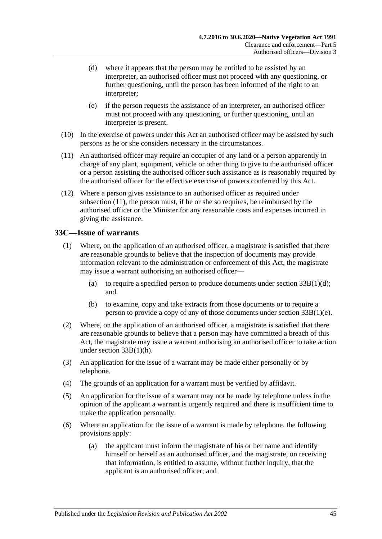- (d) where it appears that the person may be entitled to be assisted by an interpreter, an authorised officer must not proceed with any questioning, or further questioning, until the person has been informed of the right to an interpreter;
- (e) if the person requests the assistance of an interpreter, an authorised officer must not proceed with any questioning, or further questioning, until an interpreter is present.
- (10) In the exercise of powers under this Act an authorised officer may be assisted by such persons as he or she considers necessary in the circumstances.
- <span id="page-44-1"></span>(11) An authorised officer may require an occupier of any land or a person apparently in charge of any plant, equipment, vehicle or other thing to give to the authorised officer or a person assisting the authorised officer such assistance as is reasonably required by the authorised officer for the effective exercise of powers conferred by this Act.
- (12) Where a person gives assistance to an authorised officer as required under [subsection](#page-44-1) (11), the person must, if he or she so requires, be reimbursed by the authorised officer or the Minister for any reasonable costs and expenses incurred in giving the assistance.

### <span id="page-44-0"></span>**33C—Issue of warrants**

- (1) Where, on the application of an authorised officer, a magistrate is satisfied that there are reasonable grounds to believe that the inspection of documents may provide information relevant to the administration or enforcement of this Act, the magistrate may issue a warrant authorising an authorised officer—
	- (a) to require a specified person to produce documents under section  $33B(1)(d)$ ; and
	- (b) to examine, copy and take extracts from those documents or to require a person to provide a copy of any of those documents under section [33B\(1\)\(e\).](#page-42-4)
- (2) Where, on the application of an authorised officer, a magistrate is satisfied that there are reasonable grounds to believe that a person may have committed a breach of this Act, the magistrate may issue a warrant authorising an authorised officer to take action under section [33B\(1\)\(h\).](#page-42-5)
- (3) An application for the issue of a warrant may be made either personally or by telephone.
- (4) The grounds of an application for a warrant must be verified by affidavit.
- (5) An application for the issue of a warrant may not be made by telephone unless in the opinion of the applicant a warrant is urgently required and there is insufficient time to make the application personally.
- (6) Where an application for the issue of a warrant is made by telephone, the following provisions apply:
	- (a) the applicant must inform the magistrate of his or her name and identify himself or herself as an authorised officer, and the magistrate, on receiving that information, is entitled to assume, without further inquiry, that the applicant is an authorised officer; and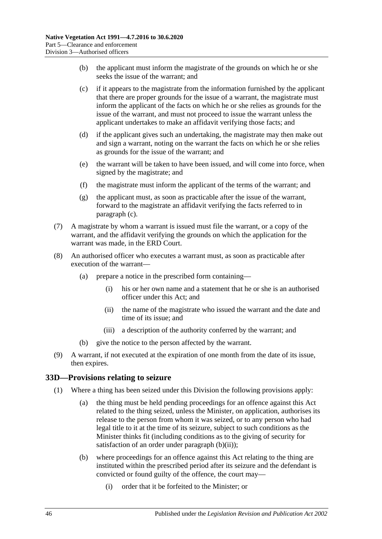- (b) the applicant must inform the magistrate of the grounds on which he or she seeks the issue of the warrant; and
- <span id="page-45-1"></span>(c) if it appears to the magistrate from the information furnished by the applicant that there are proper grounds for the issue of a warrant, the magistrate must inform the applicant of the facts on which he or she relies as grounds for the issue of the warrant, and must not proceed to issue the warrant unless the applicant undertakes to make an affidavit verifying those facts; and
- (d) if the applicant gives such an undertaking, the magistrate may then make out and sign a warrant, noting on the warrant the facts on which he or she relies as grounds for the issue of the warrant; and
- (e) the warrant will be taken to have been issued, and will come into force, when signed by the magistrate; and
- (f) the magistrate must inform the applicant of the terms of the warrant; and
- (g) the applicant must, as soon as practicable after the issue of the warrant, forward to the magistrate an affidavit verifying the facts referred to in [paragraph](#page-45-1) (c).
- (7) A magistrate by whom a warrant is issued must file the warrant, or a copy of the warrant, and the affidavit verifying the grounds on which the application for the warrant was made, in the ERD Court.
- (8) An authorised officer who executes a warrant must, as soon as practicable after execution of the warrant—
	- (a) prepare a notice in the prescribed form containing—
		- (i) his or her own name and a statement that he or she is an authorised officer under this Act; and
		- (ii) the name of the magistrate who issued the warrant and the date and time of its issue; and
		- (iii) a description of the authority conferred by the warrant; and
	- (b) give the notice to the person affected by the warrant.
- (9) A warrant, if not executed at the expiration of one month from the date of its issue, then expires.

#### <span id="page-45-4"></span><span id="page-45-0"></span>**33D—Provisions relating to seizure**

- <span id="page-45-3"></span><span id="page-45-2"></span>(1) Where a thing has been seized under this Division the following provisions apply:
	- (a) the thing must be held pending proceedings for an offence against this Act related to the thing seized, unless the Minister, on application, authorises its release to the person from whom it was seized, or to any person who had legal title to it at the time of its seizure, subject to such conditions as the Minister thinks fit (including conditions as to the giving of security for satisfaction of an order under [paragraph](#page-46-1)  $(b)(ii)$ ;
	- (b) where proceedings for an offence against this Act relating to the thing are instituted within the prescribed period after its seizure and the defendant is convicted or found guilty of the offence, the court may—
		- (i) order that it be forfeited to the Minister; or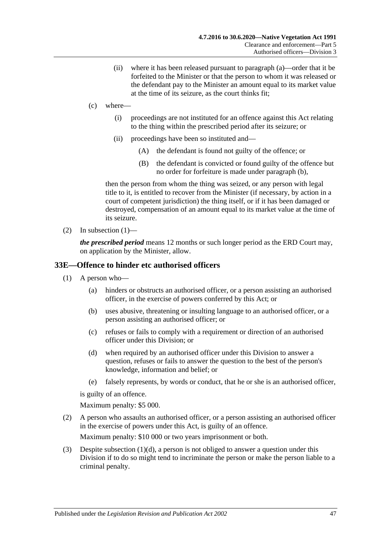- (ii) where it has been released pursuant to [paragraph](#page-45-2) (a)—order that it be forfeited to the Minister or that the person to whom it was released or the defendant pay to the Minister an amount equal to its market value at the time of its seizure, as the court thinks fit;
- <span id="page-46-1"></span>(c) where—
	- (i) proceedings are not instituted for an offence against this Act relating to the thing within the prescribed period after its seizure; or
	- (ii) proceedings have been so instituted and—
		- (A) the defendant is found not guilty of the offence; or
		- (B) the defendant is convicted or found guilty of the offence but no order for forfeiture is made under [paragraph](#page-45-3) (b),

then the person from whom the thing was seized, or any person with legal title to it, is entitled to recover from the Minister (if necessary, by action in a court of competent jurisdiction) the thing itself, or if it has been damaged or destroyed, compensation of an amount equal to its market value at the time of its seizure.

(2) In [subsection](#page-45-4)  $(1)$ —

*the prescribed period* means 12 months or such longer period as the ERD Court may, on application by the Minister, allow.

#### <span id="page-46-0"></span>**33E—Offence to hinder etc authorised officers**

- (1) A person who—
	- (a) hinders or obstructs an authorised officer, or a person assisting an authorised officer, in the exercise of powers conferred by this Act; or
	- (b) uses abusive, threatening or insulting language to an authorised officer, or a person assisting an authorised officer; or
	- (c) refuses or fails to comply with a requirement or direction of an authorised officer under this Division; or
	- (d) when required by an authorised officer under this Division to answer a question, refuses or fails to answer the question to the best of the person's knowledge, information and belief; or
	- (e) falsely represents, by words or conduct, that he or she is an authorised officer,

<span id="page-46-2"></span>is guilty of an offence.

Maximum penalty: \$5 000.

(2) A person who assaults an authorised officer, or a person assisting an authorised officer in the exercise of powers under this Act, is guilty of an offence.

Maximum penalty: \$10 000 or two years imprisonment or both.

(3) Despite [subsection](#page-46-2) (1)(d), a person is not obliged to answer a question under this Division if to do so might tend to incriminate the person or make the person liable to a criminal penalty.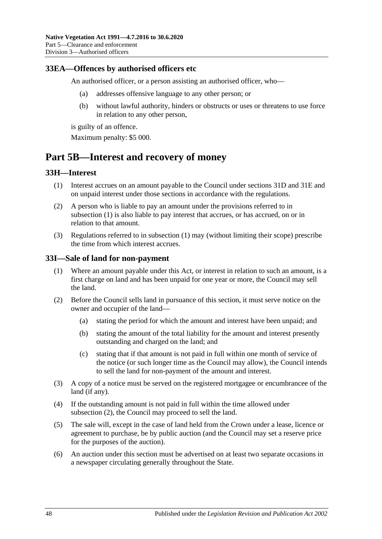### <span id="page-47-0"></span>**33EA—Offences by authorised officers etc**

An authorised officer, or a person assisting an authorised officer, who—

- (a) addresses offensive language to any other person; or
- (b) without lawful authority, hinders or obstructs or uses or threatens to use force in relation to any other person,

is guilty of an offence.

Maximum penalty: \$5 000.

## <span id="page-47-1"></span>**Part 5B—Interest and recovery of money**

### <span id="page-47-4"></span><span id="page-47-2"></span>**33H—Interest**

- (1) Interest accrues on an amount payable to the Council under [sections](#page-38-1) 31D and [31E](#page-38-2) and on unpaid interest under those sections in accordance with the regulations.
- (2) A person who is liable to pay an amount under the provisions referred to in [subsection](#page-47-4) (1) is also liable to pay interest that accrues, or has accrued, on or in relation to that amount.
- (3) Regulations referred to in [subsection](#page-47-4) (1) may (without limiting their scope) prescribe the time from which interest accrues.

#### <span id="page-47-3"></span>**33I—Sale of land for non-payment**

- (1) Where an amount payable under this Act, or interest in relation to such an amount, is a first charge on land and has been unpaid for one year or more, the Council may sell the land.
- <span id="page-47-5"></span>(2) Before the Council sells land in pursuance of this section, it must serve notice on the owner and occupier of the land—
	- (a) stating the period for which the amount and interest have been unpaid; and
	- (b) stating the amount of the total liability for the amount and interest presently outstanding and charged on the land; and
	- (c) stating that if that amount is not paid in full within one month of service of the notice (or such longer time as the Council may allow), the Council intends to sell the land for non-payment of the amount and interest.
- (3) A copy of a notice must be served on the registered mortgagee or encumbrancee of the land (if any).
- (4) If the outstanding amount is not paid in full within the time allowed under [subsection](#page-47-5) (2), the Council may proceed to sell the land.
- (5) The sale will, except in the case of land held from the Crown under a lease, licence or agreement to purchase, be by public auction (and the Council may set a reserve price for the purposes of the auction).
- (6) An auction under this section must be advertised on at least two separate occasions in a newspaper circulating generally throughout the State.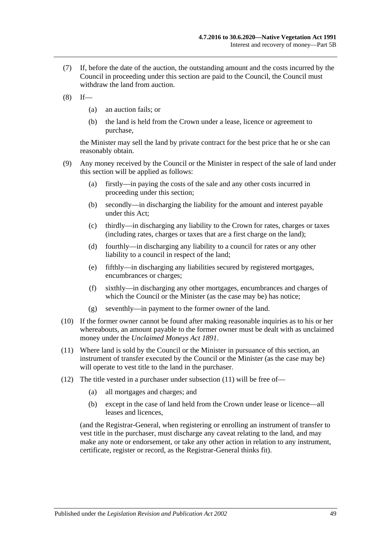- (7) If, before the date of the auction, the outstanding amount and the costs incurred by the Council in proceeding under this section are paid to the Council, the Council must withdraw the land from auction.
- $(8)$  If—
	- (a) an auction fails; or
	- (b) the land is held from the Crown under a lease, licence or agreement to purchase,

the Minister may sell the land by private contract for the best price that he or she can reasonably obtain.

- (9) Any money received by the Council or the Minister in respect of the sale of land under this section will be applied as follows:
	- (a) firstly—in paying the costs of the sale and any other costs incurred in proceeding under this section;
	- (b) secondly—in discharging the liability for the amount and interest payable under this Act;
	- (c) thirdly—in discharging any liability to the Crown for rates, charges or taxes (including rates, charges or taxes that are a first charge on the land);
	- (d) fourthly—in discharging any liability to a council for rates or any other liability to a council in respect of the land;
	- (e) fifthly—in discharging any liabilities secured by registered mortgages, encumbrances or charges;
	- (f) sixthly—in discharging any other mortgages, encumbrances and charges of which the Council or the Minister (as the case may be) has notice;
	- (g) seventhly—in payment to the former owner of the land.
- (10) If the former owner cannot be found after making reasonable inquiries as to his or her whereabouts, an amount payable to the former owner must be dealt with as unclaimed money under the *[Unclaimed Moneys Act](http://www.legislation.sa.gov.au/index.aspx?action=legref&type=act&legtitle=Unclaimed%20Moneys%20Act%201891) 1891*.
- <span id="page-48-0"></span>(11) Where land is sold by the Council or the Minister in pursuance of this section, an instrument of transfer executed by the Council or the Minister (as the case may be) will operate to vest title to the land in the purchaser.
- (12) The title vested in a purchaser under [subsection](#page-48-0) (11) will be free of—
	- (a) all mortgages and charges; and
	- (b) except in the case of land held from the Crown under lease or licence—all leases and licences,

(and the Registrar-General, when registering or enrolling an instrument of transfer to vest title in the purchaser, must discharge any caveat relating to the land, and may make any note or endorsement, or take any other action in relation to any instrument, certificate, register or record, as the Registrar-General thinks fit).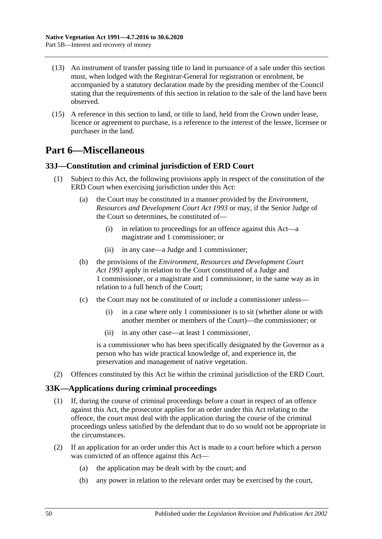- (13) An instrument of transfer passing title to land in pursuance of a sale under this section must, when lodged with the Registrar-General for registration or enrolment, be accompanied by a statutory declaration made by the presiding member of the Council stating that the requirements of this section in relation to the sale of the land have been observed.
- (15) A reference in this section to land, or title to land, held from the Crown under lease, licence or agreement to purchase, is a reference to the interest of the lessee, licensee or purchaser in the land.

## <span id="page-49-0"></span>**Part 6—Miscellaneous**

### <span id="page-49-1"></span>**33J—Constitution and criminal jurisdiction of ERD Court**

- (1) Subject to this Act, the following provisions apply in respect of the constitution of the ERD Court when exercising jurisdiction under this Act:
	- (a) the Court may be constituted in a manner provided by the *[Environment,](http://www.legislation.sa.gov.au/index.aspx?action=legref&type=act&legtitle=Environment%20Resources%20and%20Development%20Court%20Act%201993)  [Resources and Development Court Act](http://www.legislation.sa.gov.au/index.aspx?action=legref&type=act&legtitle=Environment%20Resources%20and%20Development%20Court%20Act%201993) 1993* or may, if the Senior Judge of the Court so determines, be constituted of—
		- (i) in relation to proceedings for an offence against this Act—a magistrate and 1 commissioner; or
		- (ii) in any case—a Judge and 1 commissioner;
	- (b) the provisions of the *[Environment, Resources and Development Court](http://www.legislation.sa.gov.au/index.aspx?action=legref&type=act&legtitle=Environment%20Resources%20and%20Development%20Court%20Act%201993)  Act [1993](http://www.legislation.sa.gov.au/index.aspx?action=legref&type=act&legtitle=Environment%20Resources%20and%20Development%20Court%20Act%201993)* apply in relation to the Court constituted of a Judge and 1 commissioner, or a magistrate and 1 commissioner, in the same way as in relation to a full bench of the Court;
	- (c) the Court may not be constituted of or include a commissioner unless—
		- (i) in a case where only 1 commissioner is to sit (whether alone or with another member or members of the Court)—the commissioner; or
		- (ii) in any other case—at least 1 commissioner,

is a commissioner who has been specifically designated by the Governor as a person who has wide practical knowledge of, and experience in, the preservation and management of native vegetation.

(2) Offences constituted by this Act lie within the criminal jurisdiction of the ERD Court.

### <span id="page-49-2"></span>**33K—Applications during criminal proceedings**

- (1) If, during the course of criminal proceedings before a court in respect of an offence against this Act, the prosecutor applies for an order under this Act relating to the offence, the court must deal with the application during the course of the criminal proceedings unless satisfied by the defendant that to do so would not be appropriate in the circumstances.
- (2) If an application for an order under this Act is made to a court before which a person was convicted of an offence against this Act—
	- (a) the application may be dealt with by the court; and
	- (b) any power in relation to the relevant order may be exercised by the court,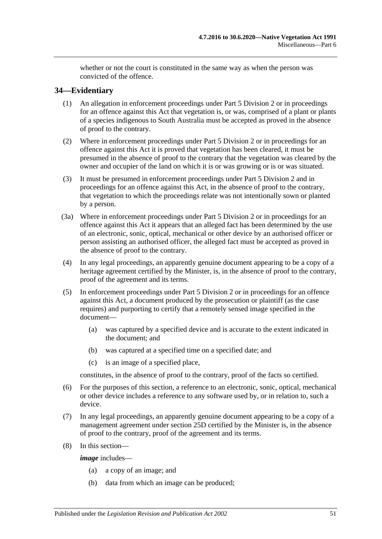whether or not the court is constituted in the same way as when the person was convicted of the offence.

## <span id="page-50-0"></span>**34—Evidentiary**

- (1) An allegation in enforcement proceedings under [Part 5 Division 2](#page-34-1) or in proceedings for an offence against this Act that vegetation is, or was, comprised of a plant or plants of a species indigenous to South Australia must be accepted as proved in the absence of proof to the contrary.
- (2) Where in enforcement proceedings under [Part 5 Division 2](#page-34-1) or in proceedings for an offence against this Act it is proved that vegetation has been cleared, it must be presumed in the absence of proof to the contrary that the vegetation was cleared by the owner and occupier of the land on which it is or was growing or is or was situated.
- (3) It must be presumed in enforcement proceedings under [Part 5 Division 2](#page-34-1) and in proceedings for an offence against this Act, in the absence of proof to the contrary, that vegetation to which the proceedings relate was not intentionally sown or planted by a person.
- (3a) Where in enforcement proceedings under [Part 5 Division 2](#page-34-1) or in proceedings for an offence against this Act it appears that an alleged fact has been determined by the use of an electronic, sonic, optical, mechanical or other device by an authorised officer or person assisting an authorised officer, the alleged fact must be accepted as proved in the absence of proof to the contrary.
- (4) In any legal proceedings, an apparently genuine document appearing to be a copy of a heritage agreement certified by the Minister, is, in the absence of proof to the contrary, proof of the agreement and its terms.
- (5) In enforcement proceedings under [Part 5 Division 2](#page-34-1) or in proceedings for an offence against this Act, a document produced by the prosecution or plaintiff (as the case requires) and purporting to certify that a remotely sensed image specified in the document—
	- (a) was captured by a specified device and is accurate to the extent indicated in the document; and
	- (b) was captured at a specified time on a specified date; and
	- (c) is an image of a specified place,

constitutes, in the absence of proof to the contrary, proof of the facts so certified.

- (6) For the purposes of this section, a reference to an electronic, sonic, optical, mechanical or other device includes a reference to any software used by, or in relation to, such a device.
- (7) In any legal proceedings, an apparently genuine document appearing to be a copy of a management agreement under section 25D certified by the Minister is, in the absence of proof to the contrary, proof of the agreement and its terms.
- (8) In this section—

*image* includes—

- (a) a copy of an image; and
- (b) data from which an image can be produced;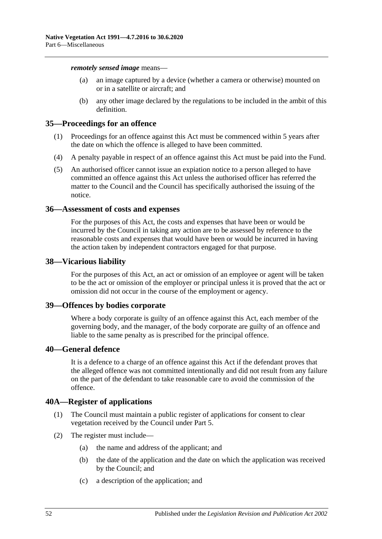*remotely sensed image* means—

- (a) an image captured by a device (whether a camera or otherwise) mounted on or in a satellite or aircraft; and
- (b) any other image declared by the regulations to be included in the ambit of this definition.

#### <span id="page-51-0"></span>**35—Proceedings for an offence**

- (1) Proceedings for an offence against this Act must be commenced within 5 years after the date on which the offence is alleged to have been committed.
- (4) A penalty payable in respect of an offence against this Act must be paid into the Fund.
- (5) An authorised officer cannot issue an expiation notice to a person alleged to have committed an offence against this Act unless the authorised officer has referred the matter to the Council and the Council has specifically authorised the issuing of the notice.

#### <span id="page-51-1"></span>**36—Assessment of costs and expenses**

For the purposes of this Act, the costs and expenses that have been or would be incurred by the Council in taking any action are to be assessed by reference to the reasonable costs and expenses that would have been or would be incurred in having the action taken by independent contractors engaged for that purpose.

#### <span id="page-51-2"></span>**38—Vicarious liability**

For the purposes of this Act, an act or omission of an employee or agent will be taken to be the act or omission of the employer or principal unless it is proved that the act or omission did not occur in the course of the employment or agency.

#### <span id="page-51-3"></span>**39—Offences by bodies corporate**

Where a body corporate is guilty of an offence against this Act, each member of the governing body, and the manager, of the body corporate are guilty of an offence and liable to the same penalty as is prescribed for the principal offence.

### <span id="page-51-4"></span>**40—General defence**

It is a defence to a charge of an offence against this Act if the defendant proves that the alleged offence was not committed intentionally and did not result from any failure on the part of the defendant to take reasonable care to avoid the commission of the offence.

### <span id="page-51-5"></span>**40A—Register of applications**

- (1) The Council must maintain a public register of applications for consent to clear vegetation received by the Council under [Part 5.](#page-23-1)
- (2) The register must include—
	- (a) the name and address of the applicant; and
	- (b) the date of the application and the date on which the application was received by the Council; and
	- (c) a description of the application; and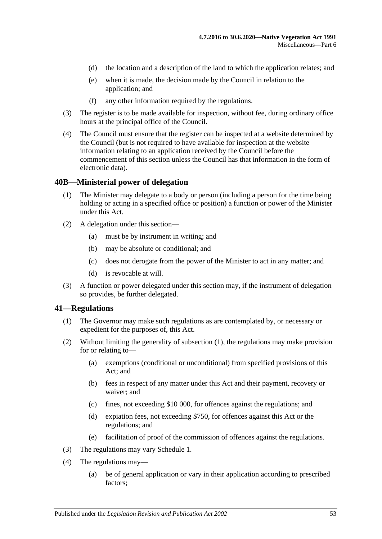- (d) the location and a description of the land to which the application relates; and
- (e) when it is made, the decision made by the Council in relation to the application; and
- (f) any other information required by the regulations.
- (3) The register is to be made available for inspection, without fee, during ordinary office hours at the principal office of the Council.
- (4) The Council must ensure that the register can be inspected at a website determined by the Council (but is not required to have available for inspection at the website information relating to an application received by the Council before the commencement of this section unless the Council has that information in the form of electronic data).

#### <span id="page-52-0"></span>**40B—Ministerial power of delegation**

- (1) The Minister may delegate to a body or person (including a person for the time being holding or acting in a specified office or position) a function or power of the Minister under this Act.
- (2) A delegation under this section—
	- (a) must be by instrument in writing; and
	- (b) may be absolute or conditional; and
	- (c) does not derogate from the power of the Minister to act in any matter; and
	- (d) is revocable at will.
- (3) A function or power delegated under this section may, if the instrument of delegation so provides, be further delegated.

#### <span id="page-52-2"></span><span id="page-52-1"></span>**41—Regulations**

- (1) The Governor may make such regulations as are contemplated by, or necessary or expedient for the purposes of, this Act.
- (2) Without limiting the generality of [subsection](#page-52-2) (1), the regulations may make provision for or relating to—
	- (a) exemptions (conditional or unconditional) from specified provisions of this Act; and
	- (b) fees in respect of any matter under this Act and their payment, recovery or waiver; and
	- (c) fines, not exceeding \$10 000, for offences against the regulations; and
	- (d) expiation fees, not exceeding \$750, for offences against this Act or the regulations; and
	- (e) facilitation of proof of the commission of offences against the regulations.
- (3) The regulations may vary [Schedule 1.](#page-53-0)
- (4) The regulations may—
	- (a) be of general application or vary in their application according to prescribed factors;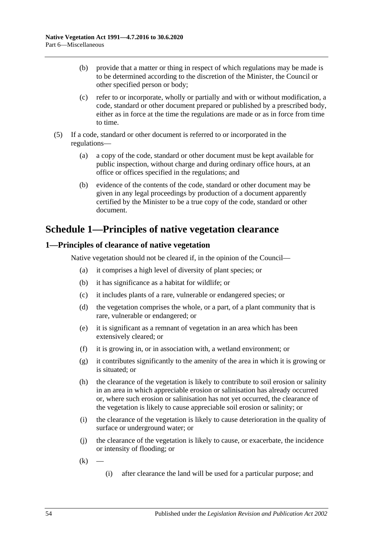- (b) provide that a matter or thing in respect of which regulations may be made is to be determined according to the discretion of the Minister, the Council or other specified person or body;
- (c) refer to or incorporate, wholly or partially and with or without modification, a code, standard or other document prepared or published by a prescribed body, either as in force at the time the regulations are made or as in force from time to time.
- (5) If a code, standard or other document is referred to or incorporated in the regulations—
	- (a) a copy of the code, standard or other document must be kept available for public inspection, without charge and during ordinary office hours, at an office or offices specified in the regulations; and
	- (b) evidence of the contents of the code, standard or other document may be given in any legal proceedings by production of a document apparently certified by the Minister to be a true copy of the code, standard or other document.

## <span id="page-53-0"></span>**Schedule 1—Principles of native vegetation clearance**

## <span id="page-53-1"></span>**1—Principles of clearance of native vegetation**

Native vegetation should not be cleared if, in the opinion of the Council—

- (a) it comprises a high level of diversity of plant species; or
- (b) it has significance as a habitat for wildlife; or
- (c) it includes plants of a rare, vulnerable or endangered species; or
- (d) the vegetation comprises the whole, or a part, of a plant community that is rare, vulnerable or endangered; or
- (e) it is significant as a remnant of vegetation in an area which has been extensively cleared; or
- (f) it is growing in, or in association with, a wetland environment; or
- (g) it contributes significantly to the amenity of the area in which it is growing or is situated; or
- (h) the clearance of the vegetation is likely to contribute to soil erosion or salinity in an area in which appreciable erosion or salinisation has already occurred or, where such erosion or salinisation has not yet occurred, the clearance of the vegetation is likely to cause appreciable soil erosion or salinity; or
- (i) the clearance of the vegetation is likely to cause deterioration in the quality of surface or underground water; or
- (j) the clearance of the vegetation is likely to cause, or exacerbate, the incidence or intensity of flooding; or
- $(k)$ 
	- (i) after clearance the land will be used for a particular purpose; and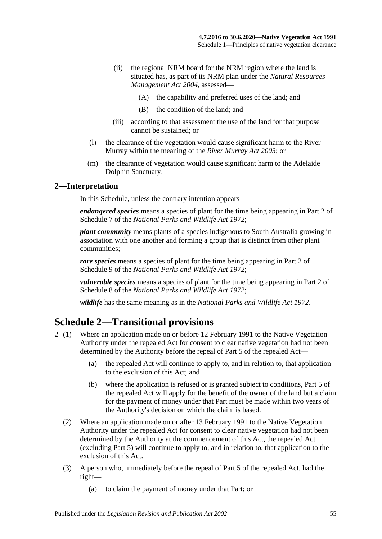- (ii) the regional NRM board for the NRM region where the land is situated has, as part of its NRM plan under the *[Natural Resources](http://www.legislation.sa.gov.au/index.aspx?action=legref&type=act&legtitle=Natural%20Resources%20Management%20Act%202004)  [Management Act](http://www.legislation.sa.gov.au/index.aspx?action=legref&type=act&legtitle=Natural%20Resources%20Management%20Act%202004) 2004*, assessed—
	- (A) the capability and preferred uses of the land; and
	- (B) the condition of the land; and
- (iii) according to that assessment the use of the land for that purpose cannot be sustained; or
- (l) the clearance of the vegetation would cause significant harm to the River Murray within the meaning of the *[River Murray Act](http://www.legislation.sa.gov.au/index.aspx?action=legref&type=act&legtitle=River%20Murray%20Act%202003) 2003*; or
- (m) the clearance of vegetation would cause significant harm to the Adelaide Dolphin Sanctuary.

#### <span id="page-54-0"></span>**2—Interpretation**

In this Schedule, unless the contrary intention appears—

*endangered species* means a species of plant for the time being appearing in Part 2 of Schedule 7 of the *[National Parks and Wildlife Act](http://www.legislation.sa.gov.au/index.aspx?action=legref&type=act&legtitle=National%20Parks%20and%20Wildlife%20Act%201972) 1972*;

*plant community* means plants of a species indigenous to South Australia growing in association with one another and forming a group that is distinct from other plant communities;

*rare species* means a species of plant for the time being appearing in Part 2 of Schedule 9 of the *[National Parks and Wildlife Act](http://www.legislation.sa.gov.au/index.aspx?action=legref&type=act&legtitle=National%20Parks%20and%20Wildlife%20Act%201972) 1972*;

*vulnerable species* means a species of plant for the time being appearing in Part 2 of Schedule 8 of the *[National Parks and Wildlife Act](http://www.legislation.sa.gov.au/index.aspx?action=legref&type=act&legtitle=National%20Parks%20and%20Wildlife%20Act%201972) 1972*;

*wildlife* has the same meaning as in the *[National Parks and Wildlife Act](http://www.legislation.sa.gov.au/index.aspx?action=legref&type=act&legtitle=National%20Parks%20and%20Wildlife%20Act%201972) 1972*.

## <span id="page-54-1"></span>**Schedule 2—Transitional provisions**

- 2 (1) Where an application made on or before 12 February 1991 to the Native Vegetation Authority under the repealed Act for consent to clear native vegetation had not been determined by the Authority before the repeal of Part 5 of the repealed Act—
	- (a) the repealed Act will continue to apply to, and in relation to, that application to the exclusion of this Act; and
	- (b) where the application is refused or is granted subject to conditions, Part 5 of the repealed Act will apply for the benefit of the owner of the land but a claim for the payment of money under that Part must be made within two years of the Authority's decision on which the claim is based.
	- (2) Where an application made on or after 13 February 1991 to the Native Vegetation Authority under the repealed Act for consent to clear native vegetation had not been determined by the Authority at the commencement of this Act, the repealed Act (excluding Part 5) will continue to apply to, and in relation to, that application to the exclusion of this Act.
	- (3) A person who, immediately before the repeal of Part 5 of the repealed Act, had the right—
		- (a) to claim the payment of money under that Part; or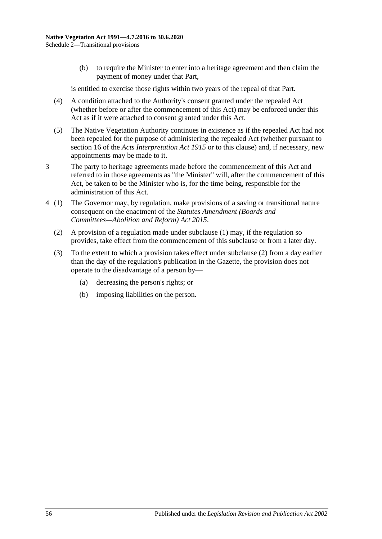(b) to require the Minister to enter into a heritage agreement and then claim the payment of money under that Part,

is entitled to exercise those rights within two years of the repeal of that Part.

- (4) A condition attached to the Authority's consent granted under the repealed Act (whether before or after the commencement of this Act) may be enforced under this Act as if it were attached to consent granted under this Act.
- (5) The Native Vegetation Authority continues in existence as if the repealed Act had not been repealed for the purpose of administering the repealed Act (whether pursuant to section 16 of the *[Acts Interpretation Act](http://www.legislation.sa.gov.au/index.aspx?action=legref&type=act&legtitle=Acts%20Interpretation%20Act%201915) 1915* or to this clause) and, if necessary, new appointments may be made to it.
- 3 The party to heritage agreements made before the commencement of this Act and referred to in those agreements as "the Minister" will, after the commencement of this Act, be taken to be the Minister who is, for the time being, responsible for the administration of this Act.
- <span id="page-55-0"></span>4 (1) The Governor may, by regulation, make provisions of a saving or transitional nature consequent on the enactment of the *[Statutes Amendment \(Boards and](http://www.legislation.sa.gov.au/index.aspx?action=legref&type=act&legtitle=Statutes%20Amendment%20(Boards%20and%20Committees%E2%80%94Abolition%20and%20Reform)%20Act%202015)  [Committees—Abolition and Reform\) Act](http://www.legislation.sa.gov.au/index.aspx?action=legref&type=act&legtitle=Statutes%20Amendment%20(Boards%20and%20Committees%E2%80%94Abolition%20and%20Reform)%20Act%202015) 2015*.
	- (2) A provision of a regulation made under subclause (1) may, if the regulation so provides, take effect from the commencement of this subclause or from a later day.
	- (3) To the extent to which a provision takes effect under [subclause](#page-55-0) (2) from a day earlier than the day of the regulation's publication in the Gazette, the provision does not operate to the disadvantage of a person by—
		- (a) decreasing the person's rights; or
		- (b) imposing liabilities on the person.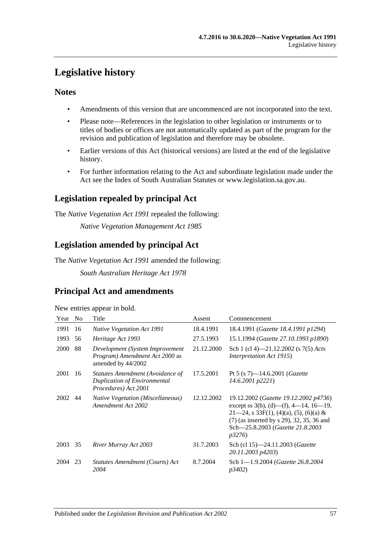## <span id="page-56-0"></span>**Legislative history**

## **Notes**

- Amendments of this version that are uncommenced are not incorporated into the text.
- Please note—References in the legislation to other legislation or instruments or to titles of bodies or offices are not automatically updated as part of the program for the revision and publication of legislation and therefore may be obsolete.
- Earlier versions of this Act (historical versions) are listed at the end of the legislative history.
- For further information relating to the Act and subordinate legislation made under the Act see the Index of South Australian Statutes or www.legislation.sa.gov.au.

## **Legislation repealed by principal Act**

The *Native Vegetation Act 1991* repealed the following:

*Native Vegetation Management Act 1985*

## **Legislation amended by principal Act**

The *Native Vegetation Act 1991* amended the following:

*South Australian Heritage Act 1978*

## **Principal Act and amendments**

New entries appear in bold.

| Year | N <sub>0</sub> | Title                                                                                           | Assent     | Commencement                                                                                                                                                                                                                      |
|------|----------------|-------------------------------------------------------------------------------------------------|------------|-----------------------------------------------------------------------------------------------------------------------------------------------------------------------------------------------------------------------------------|
| 1991 | 16             | <i>Native Vegetation Act 1991</i>                                                               | 18.4.1991  | 18.4.1991 ( <i>Gazette 18.4.1991 p1294</i> )                                                                                                                                                                                      |
| 1993 | 56             | Heritage Act 1993                                                                               | 27.5.1993  | 15.1.1994 (Gazette 27.10.1993 p1890)                                                                                                                                                                                              |
| 2000 | 88             | Development (System Improvement<br>Program) Amendment Act 2000 as<br>amended by 44/2002         | 21.12.2000 | Sch 1 (cl 4)—21.12.2002 (s $7(5)$ Acts<br><i>Interpretation Act 1915</i> )                                                                                                                                                        |
| 2001 | 16             | Statutes Amendment (Avoidance of<br><b>Duplication of Environmental</b><br>Procedures) Act 2001 | 17.5.2001  | Pt 5 (s 7)—14.6.2001 ( <i>Gazette</i><br>$14.6.2001$ $p2221$ )                                                                                                                                                                    |
| 2002 | 44             | <b>Native Vegetation (Miscellaneous)</b><br>Amendment Act 2002                                  | 12.12.2002 | 19.12.2002 (Gazette 19.12.2002 p4736)<br>except ss $3(b)$ , (d)—(f), 4—14, 16—19,<br>$21-24$ , s 33F(1), (4)(a), (5), (6)(a) &<br>(7) (as inserted by s 29), 32, 35, 36 and<br>Sch-25.8.2003 (Gazette 21.8.2003<br><i>p</i> 3276) |
| 2003 | 35             | River Murray Act 2003                                                                           | 31.7.2003  | Sch (cl 15)-24.11.2003 (Gazette<br>20.11.2003 p4203)                                                                                                                                                                              |
| 2004 | 23             | Statutes Amendment (Courts) Act<br>2004                                                         | 8.7.2004   | Sch 1-1.9.2004 (Gazette 26.8.2004)<br>p3402)                                                                                                                                                                                      |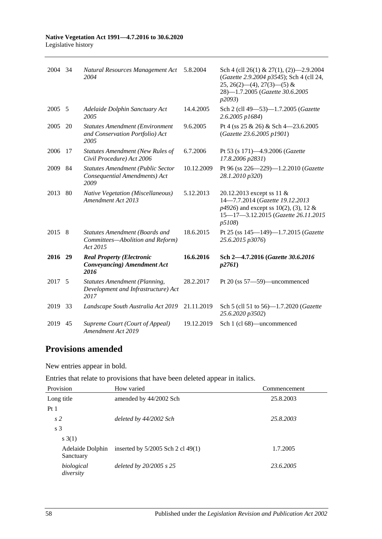#### **Native Vegetation Act 1991—4.7.2016 to 30.6.2020** Legislative history

| 2004 34 |    | Natural Resources Management Act<br>2004                                            | 5.8.2004   | Sch 4 (cll 26(1) & 27(1), (2) $-2.9.2004$<br>(Gazette 2.9.2004 p3545); Sch 4 (cll 24,<br>$25, 26(2)$ - (4), $27(3)$ - (5) &<br>28)-1.7.2005 (Gazette 30.6.2005<br>p2093) |
|---------|----|-------------------------------------------------------------------------------------|------------|--------------------------------------------------------------------------------------------------------------------------------------------------------------------------|
| 2005    | 5  | Adelaide Dolphin Sanctuary Act<br>2005                                              | 14.4.2005  | Sch 2 (cll 49-53)-1.7.2005 (Gazette<br>2.6.2005 p1684)                                                                                                                   |
| 2005    | 20 | <b>Statutes Amendment (Environment</b><br>and Conservation Portfolio) Act<br>2005   | 9.6.2005   | Pt 4 (ss $25 \& 26$ ) & Sch 4-23.6.2005<br>(Gazette 23.6.2005 p1901)                                                                                                     |
| 2006    | 17 | <b>Statutes Amendment (New Rules of</b><br>Civil Procedure) Act 2006                | 6.7.2006   | Pt 53 (s 171)-4.9.2006 (Gazette<br>17.8.2006 p2831)                                                                                                                      |
| 2009    | 84 | <b>Statutes Amendment (Public Sector</b><br>Consequential Amendments) Act<br>2009   | 10.12.2009 | Pt 96 (ss $226 - 229$ )-1.2.2010 ( <i>Gazette</i><br>28.1.2010 p320)                                                                                                     |
| 2013    | 80 | <b>Native Vegetation (Miscellaneous)</b><br>Amendment Act 2013                      | 5.12.2013  | 20.12.2013 except ss 11 &<br>14-7.7.2014 (Gazette 19.12.2013<br>$p4926$ ) and except ss 10(2), (3), 12 &<br>15-17-3.12.2015 (Gazette 26.11.2015<br>p5108                 |
| 2015    | 8  | Statutes Amendment (Boards and<br>Committees-Abolition and Reform)<br>Act 2015      | 18.6.2015  | Pt 25 (ss 145-149)-1.7.2015 (Gazette<br>25.6.2015 p3076)                                                                                                                 |
| 2016    | 29 | <b>Real Property (Electronic</b><br>Conveyancing) Amendment Act<br>2016             | 16.6.2016  | Sch 2-4.7.2016 (Gazette 30.6.2016)<br>p2761                                                                                                                              |
| 2017    | 5  | <b>Statutes Amendment (Planning,</b><br>Development and Infrastructure) Act<br>2017 | 28.2.2017  | Pt 20 (ss 57-59)-uncommenced                                                                                                                                             |
| 2019    | 33 | Landscape South Australia Act 2019                                                  | 21.11.2019 | Sch 5 (cll 51 to 56)-1.7.2020 (Gazette<br>25.6.2020 p3502)                                                                                                               |
| 2019    | 45 | Supreme Court (Court of Appeal)<br>Amendment Act 2019                               | 19.12.2019 | Sch 1 (cl 68)—uncommenced                                                                                                                                                |

## **Provisions amended**

New entries appear in bold.

Entries that relate to provisions that have been deleted appear in italics.

| Provision                     | How varied                          | Commencement |
|-------------------------------|-------------------------------------|--------------|
| Long title                    | amended by 44/2002 Sch              | 25.8.2003    |
| Pt <sub>1</sub>               |                                     |              |
| s <sub>2</sub>                | deleted by 44/2002 Sch              | 25.8.2003    |
| s <sub>3</sub>                |                                     |              |
| s(3(1))                       |                                     |              |
| Adelaide Dolphin<br>Sanctuary | inserted by $5/2005$ Sch 2 cl 49(1) | 1.7.2005     |
| biological<br>diversity       | deleted by $20/2005$ s $25$         | 23.6.2005    |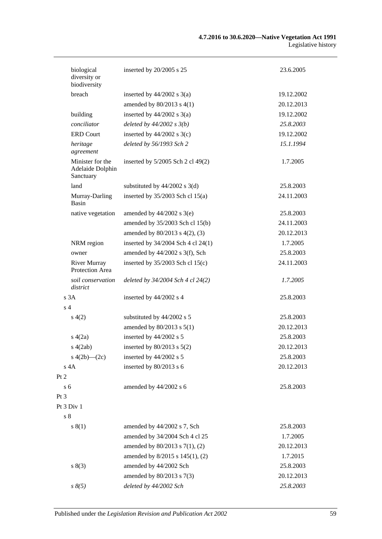| biological<br>diversity or<br>biodiversity        | inserted by 20/2005 s 25             | 23.6.2005  |
|---------------------------------------------------|--------------------------------------|------------|
| breach                                            | inserted by $44/2002$ s $3(a)$       | 19.12.2002 |
|                                                   | amended by 80/2013 s 4(1)            | 20.12.2013 |
| building                                          | inserted by $44/2002$ s $3(a)$       | 19.12.2002 |
| conciliator                                       | deleted by $44/2002 s 3(b)$          | 25.8.2003  |
| <b>ERD Court</b>                                  | inserted by $44/2002$ s 3(c)         | 19.12.2002 |
| heritage<br>agreement                             | deleted by 56/1993 Sch 2             | 15.1.1994  |
| Minister for the<br>Adelaide Dolphin<br>Sanctuary | inserted by 5/2005 Sch 2 cl 49(2)    | 1.7.2005   |
| land                                              | substituted by $44/2002$ s 3(d)      | 25.8.2003  |
| Murray-Darling<br>Basin                           | inserted by $35/2003$ Sch cl $15(a)$ | 24.11.2003 |
| native vegetation                                 | amended by $44/2002$ s 3(e)          | 25.8.2003  |
|                                                   | amended by 35/2003 Sch cl 15(b)      | 24.11.2003 |
|                                                   | amended by 80/2013 s 4(2), (3)       | 20.12.2013 |
| NRM region                                        | inserted by 34/2004 Sch 4 cl 24(1)   | 1.7.2005   |
| owner                                             | amended by 44/2002 s 3(f), Sch       | 25.8.2003  |
| <b>River Murray</b><br>Protection Area            | inserted by $35/2003$ Sch cl $15(c)$ | 24.11.2003 |
| soil conservation<br>district                     | deleted by 34/2004 Sch 4 cl 24(2)    | 1.7.2005   |
| s <sub>3A</sub>                                   | inserted by 44/2002 s 4              | 25.8.2003  |
| s <sub>4</sub>                                    |                                      |            |
| s(4(2)                                            | substituted by 44/2002 s 5           | 25.8.2003  |
|                                                   | amended by $80/2013$ s $5(1)$        | 20.12.2013 |
| s(4(2a)                                           | inserted by 44/2002 s 5              | 25.8.2003  |
| s(4(2ab))                                         | inserted by $80/2013$ s $5(2)$       | 20.12.2013 |
| s $4(2b)$ — $(2c)$                                | inserted by 44/2002 s 5              | 25.8.2003  |
| $s$ 4 $A$                                         | inserted by 80/2013 s 6              | 20.12.2013 |
| Pt 2                                              |                                      |            |
| s <sub>6</sub>                                    | amended by 44/2002 s 6               | 25.8.2003  |
| Pt <sub>3</sub>                                   |                                      |            |
| Pt 3 Div 1                                        |                                      |            |
| $\sqrt{s}$ 8                                      |                                      |            |
| s(1)                                              | amended by 44/2002 s 7, Sch          | 25.8.2003  |
|                                                   | amended by 34/2004 Sch 4 cl 25       | 1.7.2005   |
|                                                   | amended by 80/2013 s 7(1), (2)       | 20.12.2013 |
|                                                   | amended by 8/2015 s 145(1), (2)      | 1.7.2015   |
| s(3)                                              | amended by 44/2002 Sch               | 25.8.2003  |
|                                                   | amended by 80/2013 s 7(3)            | 20.12.2013 |
| $s \, 8(5)$                                       | deleted by 44/2002 Sch               | 25.8.2003  |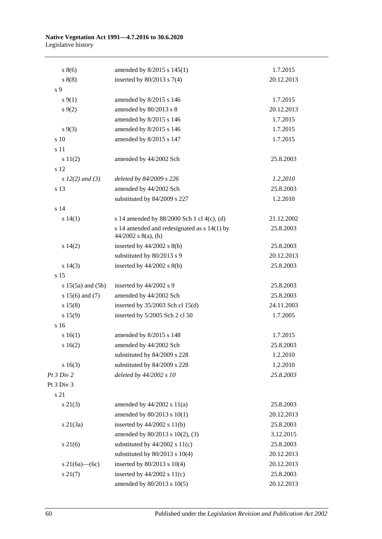#### **Native Vegetation Act 1991—4.7.2016 to 30.6.2020** Legislative history

| $s \, 8(6)$           | amended by 8/2015 s 145(1)                                             | 1.7.2015   |
|-----------------------|------------------------------------------------------------------------|------------|
| s(8)                  | inserted by $80/2013$ s $7(4)$                                         | 20.12.2013 |
| s <sub>9</sub>        |                                                                        |            |
| $s \, 9(1)$           | amended by 8/2015 s 146                                                | 1.7.2015   |
| $s \, 9(2)$           | amended by 80/2013 s 8                                                 | 20.12.2013 |
|                       | amended by 8/2015 s 146                                                | 1.7.2015   |
| $s \, 9(3)$           | amended by 8/2015 s 146                                                | 1.7.2015   |
| s 10                  | amended by 8/2015 s 147                                                | 1.7.2015   |
| s 11                  |                                                                        |            |
| s 11(2)               | amended by 44/2002 Sch                                                 | 25.8.2003  |
| s 12                  |                                                                        |            |
| s $12(2)$ and (3)     | deleted by 84/2009 s 226                                               | 1.2.2010   |
| s 13                  | amended by 44/2002 Sch                                                 | 25.8.2003  |
|                       | substituted by 84/2009 s 227                                           | 1.2.2010   |
| s 14                  |                                                                        |            |
| s 14(1)               | s 14 amended by 88/2000 Sch 1 cl 4(c), (d)                             | 21.12.2002 |
|                       | s 14 amended and redesignated as $s$ 14(1) by<br>$44/2002$ s 8(a), (b) | 25.8.2003  |
| s 14(2)               | inserted by $44/2002$ s $8(b)$                                         | 25.8.2003  |
|                       | substituted by 80/2013 s 9                                             | 20.12.2013 |
| s 14(3)               | inserted by $44/2002$ s $8(b)$                                         | 25.8.2003  |
| s 15                  |                                                                        |            |
| $s 15(5a)$ and $(5b)$ | inserted by 44/2002 s 9                                                | 25.8.2003  |
| s $15(6)$ and $(7)$   | amended by 44/2002 Sch                                                 | 25.8.2003  |
| s 15(8)               | inserted by $35/2003$ Sch cl 15(d)                                     | 24.11.2003 |
| s 15(9)               | inserted by 5/2005 Sch 2 cl 50                                         | 1.7.2005   |
| s 16                  |                                                                        |            |
| s 16(1)               | amended by 8/2015 s 148                                                | 1.7.2015   |
| s 16(2)               | amended by 44/2002 Sch                                                 | 25.8.2003  |
|                       | substituted by 84/2009 s 228                                           | 1.2.2010   |
| s 16(3)               | substituted by 84/2009 s 228                                           | 1.2.2010   |
| Pt 3 Div 2            | deleted by 44/2002 s 10                                                | 25.8.2003  |
| Pt 3 Div 3            |                                                                        |            |
| s 21                  |                                                                        |            |
| $s \, 21(3)$          | amended by $44/2002$ s $11(a)$                                         | 25.8.2003  |
|                       | amended by 80/2013 s 10(1)                                             | 20.12.2013 |
| s21(3a)               | inserted by $44/2002$ s $11(b)$                                        | 25.8.2003  |
|                       | amended by 80/2013 s 10(2), (3)                                        | 3.12.2015  |
| $s \, 21(6)$          | substituted by $44/2002$ s $11(c)$                                     | 25.8.2003  |
|                       | substituted by $80/2013$ s $10(4)$                                     | 20.12.2013 |
| s 21(6a)—(6c)         | inserted by 80/2013 s 10(4)                                            | 20.12.2013 |
| $s \, 21(7)$          | inserted by $44/2002$ s $11(c)$                                        | 25.8.2003  |
|                       | amended by 80/2013 s 10(5)                                             | 20.12.2013 |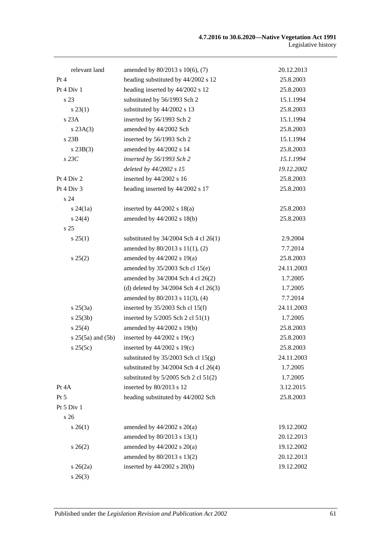| relevant land         | amended by 80/2013 s 10(6), (7)           | 20.12.2013 |
|-----------------------|-------------------------------------------|------------|
| Pt 4                  | heading substituted by 44/2002 s 12       | 25.8.2003  |
| Pt 4 Div 1            | heading inserted by 44/2002 s 12          | 25.8.2003  |
| s 23                  | substituted by 56/1993 Sch 2              | 15.1.1994  |
| $s\,23(1)$            | substituted by 44/2002 s 13               | 25.8.2003  |
| s 23A                 | inserted by 56/1993 Sch 2                 | 15.1.1994  |
| s 23A(3)              | amended by 44/2002 Sch                    | 25.8.2003  |
| s 23B                 | inserted by 56/1993 Sch 2                 | 15.1.1994  |
| $s$ 23B(3)            | amended by 44/2002 s 14                   | 25.8.2003  |
| $s$ 23 $C$            | inserted by 56/1993 Sch 2                 | 15.1.1994  |
|                       | deleted by 44/2002 s 15                   | 19.12.2002 |
| Pt 4 Div 2            | inserted by 44/2002 s 16                  | 25.8.2003  |
| Pt 4 Div 3            | heading inserted by 44/2002 s 17          | 25.8.2003  |
| s 24                  |                                           |            |
| $s\,24(1a)$           | inserted by $44/2002$ s $18(a)$           | 25.8.2003  |
| $s\,24(4)$            | amended by 44/2002 s 18(b)                | 25.8.2003  |
| s25                   |                                           |            |
| $s \, 25(1)$          | substituted by $34/2004$ Sch 4 cl 26(1)   | 2.9.2004   |
|                       | amended by 80/2013 s 11(1), (2)           | 7.7.2014   |
| s 25(2)               | amended by 44/2002 s 19(a)                | 25.8.2003  |
|                       | amended by 35/2003 Sch cl 15(e)           | 24.11.2003 |
|                       | amended by 34/2004 Sch 4 cl 26(2)         | 1.7.2005   |
|                       | (d) deleted by $34/2004$ Sch 4 cl $26(3)$ | 1.7.2005   |
|                       | amended by 80/2013 s 11(3), (4)           | 7.7.2014   |
| $s \, 25(3a)$         | inserted by $35/2003$ Sch cl 15(f)        | 24.11.2003 |
| $s \; 25(3b)$         | inserted by $5/2005$ Sch 2 cl $51(1)$     | 1.7.2005   |
| $s \, 25(4)$          | amended by 44/2002 s 19(b)                | 25.8.2003  |
| $s 25(5a)$ and $(5b)$ | inserted by $44/2002$ s 19(c)             | 25.8.2003  |
| s 25(5c)              | inserted by 44/2002 s 19(c)               | 25.8.2003  |
|                       | substituted by $35/2003$ Sch cl $15(g)$   | 24.11.2003 |
|                       | substituted by $34/2004$ Sch 4 cl 26(4)   | 1.7.2005   |
|                       | substituted by $5/2005$ Sch 2 cl $51(2)$  | 1.7.2005   |
| Pt 4A                 | inserted by 80/2013 s 12                  | 3.12.2015  |
| Pt 5                  | heading substituted by 44/2002 Sch        | 25.8.2003  |
| Pt 5 Div 1            |                                           |            |
| s 26                  |                                           |            |
| $s \; 26(1)$          | amended by $44/2002$ s $20(a)$            | 19.12.2002 |
|                       | amended by 80/2013 s 13(1)                | 20.12.2013 |
| $s \, 26(2)$          | amended by $44/2002$ s $20(a)$            | 19.12.2002 |
|                       | amended by 80/2013 s 13(2)                | 20.12.2013 |
| $s \; 26(2a)$         | inserted by $44/2002$ s $20(b)$           | 19.12.2002 |
| $s \; 26(3)$          |                                           |            |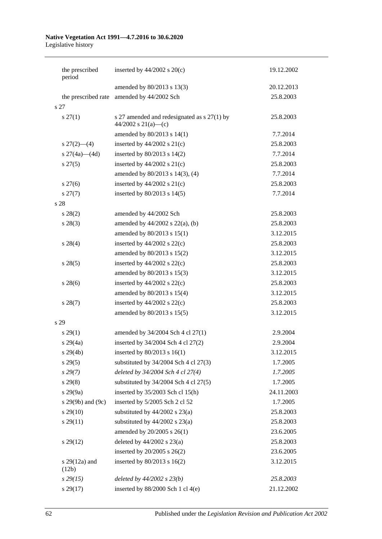#### **Native Vegetation Act 1991—4.7.2016 to 30.6.2020** Legislative history

| the prescribed            | inserted by $44/2002$ s $20(c)$                                    | 19.12.2002 |
|---------------------------|--------------------------------------------------------------------|------------|
| period                    |                                                                    |            |
|                           | amended by 80/2013 s 13(3)                                         | 20.12.2013 |
| the prescribed rate       | amended by 44/2002 Sch                                             | 25.8.2003  |
| s 27                      |                                                                    |            |
| $s \, 27(1)$              | s 27 amended and redesignated as s 27(1) by<br>44/2002 s 21(a)-(c) | 25.8.2003  |
|                           | amended by 80/2013 s 14(1)                                         | 7.7.2014   |
| $s \frac{27(2) - (4)}{ }$ | inserted by $44/2002$ s $21(c)$                                    | 25.8.2003  |
| s $27(4a)$ (4d)           | inserted by $80/2013$ s $14(2)$                                    | 7.7.2014   |
| $s\,27(5)$                | inserted by $44/2002$ s $21(c)$                                    | 25.8.2003  |
|                           | amended by 80/2013 s 14(3), (4)                                    | 7.7.2014   |
| $s\,27(6)$                | inserted by $44/2002$ s $21(c)$                                    | 25.8.2003  |
| $s\,27(7)$                | inserted by $80/2013$ s $14(5)$                                    | 7.7.2014   |
| s 28                      |                                                                    |            |
| $s\,28(2)$                | amended by 44/2002 Sch                                             | 25.8.2003  |
| $s\,28(3)$                | amended by $44/2002$ s $22(a)$ , (b)                               | 25.8.2003  |
|                           | amended by 80/2013 s 15(1)                                         | 3.12.2015  |
| $s\,28(4)$                | inserted by $44/2002$ s $22(c)$                                    | 25.8.2003  |
|                           | amended by 80/2013 s 15(2)                                         | 3.12.2015  |
| $s\,28(5)$                | inserted by $44/2002$ s $22(c)$                                    | 25.8.2003  |
|                           | amended by 80/2013 s 15(3)                                         | 3.12.2015  |
| $s\,28(6)$                | inserted by $44/2002$ s $22(c)$                                    | 25.8.2003  |
|                           | amended by 80/2013 s 15(4)                                         | 3.12.2015  |
| $s\,28(7)$                | inserted by $44/2002$ s $22(c)$                                    | 25.8.2003  |
|                           | amended by 80/2013 s 15(5)                                         | 3.12.2015  |
| s 29                      |                                                                    |            |
| $s\,29(1)$                | amended by 34/2004 Sch 4 cl 27(1)                                  | 2.9.2004   |
| $s\ 29(4a)$               | inserted by 34/2004 Sch 4 cl 27(2)                                 | 2.9.2004   |
| s 29(4b)                  | inserted by 80/2013 s 16(1)                                        | 3.12.2015  |
| $s\,29(5)$                | substituted by $34/2004$ Sch 4 cl $27(3)$                          | 1.7.2005   |
| $s\,29(7)$                | deleted by 34/2004 Sch 4 cl 27(4)                                  | 1.7.2005   |
| $s\,29(8)$                | substituted by $34/2004$ Sch 4 cl $27(5)$                          | 1.7.2005   |
| s 29(9a)                  | inserted by 35/2003 Sch cl 15(h)                                   | 24.11.2003 |
| s 29(9b) and (9c)         | inserted by 5/2005 Sch 2 cl 52                                     | 1.7.2005   |
| $s\,29(10)$               | substituted by $44/2002$ s $23(a)$                                 | 25.8.2003  |
| $s\,29(11)$               | substituted by $44/2002$ s $23(a)$                                 | 25.8.2003  |
|                           | amended by 20/2005 s 26(1)                                         | 23.6.2005  |
| $s\,29(12)$               | deleted by $44/2002$ s $23(a)$                                     | 25.8.2003  |
|                           | inserted by $20/2005$ s $26(2)$                                    | 23.6.2005  |
| s $29(12a)$ and<br>(12b)  | inserted by 80/2013 s 16(2)                                        | 3.12.2015  |
| $s\,29(15)$               | deleted by $44/2002 s 23(b)$                                       | 25.8.2003  |
| $s\,29(17)$               | inserted by $88/2000$ Sch 1 cl 4(e)                                | 21.12.2002 |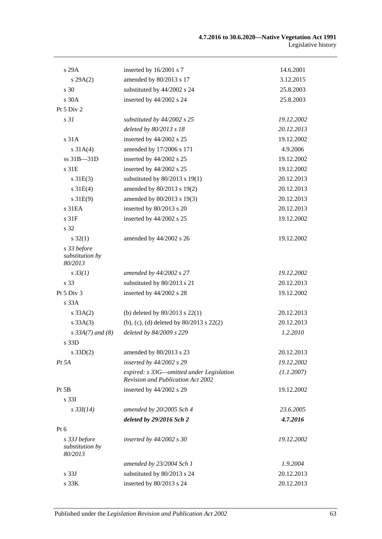| s 29A                                      | inserted by 16/2001 s 7                                                       | 14.6.2001  |
|--------------------------------------------|-------------------------------------------------------------------------------|------------|
| s 29A(2)                                   | amended by 80/2013 s 17                                                       | 3.12.2015  |
| s 30                                       | substituted by 44/2002 s 24                                                   | 25.8.2003  |
| s 30A                                      | inserted by 44/2002 s 24                                                      | 25.8.2003  |
| Pt 5 Div 2                                 |                                                                               |            |
| s <sub>31</sub>                            | substituted by 44/2002 s 25                                                   | 19.12.2002 |
|                                            | deleted by 80/2013 s 18                                                       | 20.12.2013 |
| s 31A                                      | inserted by 44/2002 s 25                                                      | 19.12.2002 |
| $s \, 31A(4)$                              | amended by 17/2006 s 171                                                      | 4.9.2006   |
| ss 31B-31D                                 | inserted by 44/2002 s 25                                                      | 19.12.2002 |
| s 31E                                      | inserted by 44/2002 s 25                                                      | 19.12.2002 |
| $s \, 31E(3)$                              | substituted by $80/2013$ s 19(1)                                              | 20.12.2013 |
| $s \, 31E(4)$                              | amended by 80/2013 s 19(2)                                                    | 20.12.2013 |
| s31E(9)                                    | amended by 80/2013 s 19(3)                                                    | 20.12.2013 |
| s 31EA                                     | inserted by 80/2013 s 20                                                      | 20.12.2013 |
| s 31F                                      | inserted by 44/2002 s 25                                                      | 19.12.2002 |
| s 32                                       |                                                                               |            |
| $s \, 32(1)$                               | amended by 44/2002 s 26                                                       | 19.12.2002 |
| s 33 before                                |                                                                               |            |
| substitution by<br>80/2013                 |                                                                               |            |
| $s \, 33(1)$                               | amended by 44/2002 s 27                                                       | 19.12.2002 |
| s 33                                       | substituted by 80/2013 s 21                                                   | 20.12.2013 |
| Pt 5 Div 3                                 | inserted by 44/2002 s 28                                                      | 19.12.2002 |
| s 33A                                      |                                                                               |            |
| $s \, 33A(2)$                              | (b) deleted by $80/2013$ s $22(1)$                                            | 20.12.2013 |
| s 33A(3)                                   | (b), (c), (d) deleted by $80/2013$ s $22(2)$                                  | 20.12.2013 |
| $s\,33A(7)$ and (8)                        | deleted by 84/2009 s 229                                                      | 1.2.2010   |
| s 33D                                      |                                                                               |            |
| s 33D(2)                                   | amended by 80/2013 s 23                                                       | 20.12.2013 |
| $Pt\,5A$                                   | inserted by 44/2002 s 29                                                      | 19.12.2002 |
|                                            | expired: s 33G-omitted under Legislation<br>Revision and Publication Act 2002 | (1.1.2007) |
| Pt 5B                                      | inserted by 44/2002 s 29                                                      | 19.12.2002 |
| s <sub>331</sub>                           |                                                                               |            |
| $s \frac{33I(14)}{2}$                      | amended by 20/2005 Sch 4                                                      | 23.6.2005  |
|                                            | deleted by 29/2016 Sch 2                                                      | 4.7.2016   |
| Pt $6$                                     |                                                                               |            |
| s 33J before<br>substitution by<br>80/2013 | inserted by $44/2002$ s 30                                                    | 19.12.2002 |
|                                            | amended by 23/2004 Sch 1                                                      | 1.9.2004   |
| s <sub>33J</sub>                           | substituted by 80/2013 s 24                                                   | 20.12.2013 |
| s 33K                                      | inserted by 80/2013 s 24                                                      | 20.12.2013 |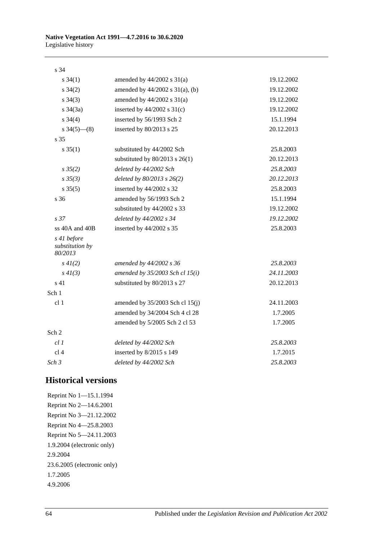| ۰.<br>۰. | ۰.<br>۰.<br>× |
|----------|---------------|
|          |               |

| $s \; 34(1)$                              | amended by $44/2002$ s $31(a)$       | 19.12.2002 |
|-------------------------------------------|--------------------------------------|------------|
| $s \; 34(2)$                              | amended by $44/2002$ s $31(a)$ , (b) | 19.12.2002 |
| $s \; 34(3)$                              | amended by $44/2002$ s $31(a)$       | 19.12.2002 |
| $s \; 34(3a)$                             | inserted by $44/2002$ s $31(c)$      | 19.12.2002 |
| $s \; 34(4)$                              | inserted by 56/1993 Sch 2            | 15.1.1994  |
| $s \frac{34(5) - (8)}{2}$                 | inserted by 80/2013 s 25             | 20.12.2013 |
| s 35                                      |                                      |            |
| $s \; 35(1)$                              | substituted by 44/2002 Sch           | 25.8.2003  |
|                                           | substituted by $80/2013$ s $26(1)$   | 20.12.2013 |
| $s \frac{35}{2}$                          | deleted by 44/2002 Sch               | 25.8.2003  |
| $s \, 35(3)$                              | deleted by $80/2013$ s $26(2)$       | 20.12.2013 |
| $s \; 35(5)$                              | inserted by 44/2002 s 32             | 25.8.2003  |
| s 36                                      | amended by 56/1993 Sch 2             | 15.1.1994  |
|                                           | substituted by 44/2002 s 33          | 19.12.2002 |
| s <sub>37</sub>                           | deleted by 44/2002 s 34              | 19.12.2002 |
| ss 40A and 40B                            | inserted by 44/2002 s 35             | 25.8.2003  |
| s 41 before<br>substitution by<br>80/2013 |                                      |            |
| $s\,4I(2)$                                | amended by 44/2002 s 36              | 25.8.2003  |
| $s\,4I(3)$                                | amended by $35/2003$ Sch cl $15(i)$  | 24.11.2003 |
| s 41                                      | substituted by 80/2013 s 27          | 20.12.2013 |
| Sch 1                                     |                                      |            |
| cl 1                                      | amended by $35/2003$ Sch cl $15(j)$  | 24.11.2003 |
|                                           | amended by 34/2004 Sch 4 cl 28       | 1.7.2005   |
|                                           | amended by 5/2005 Sch 2 cl 53        | 1.7.2005   |
| Sch 2                                     |                                      |            |
| cl1                                       | deleted by 44/2002 Sch               | 25.8.2003  |
| cl <sub>4</sub>                           | inserted by 8/2015 s 149             | 1.7.2015   |
| Sch <sub>3</sub>                          | deleted by 44/2002 Sch               | 25.8.2003  |

## **Historical versions**

Reprint No 1—15.1.1994 Reprint No 2—14.6.2001 Reprint No 3—21.12.2002 Reprint No 4—25.8.2003 Reprint No 5—24.11.2003 1.9.2004 (electronic only) 2.9.2004 23.6.2005 (electronic only) 1.7.2005 4.9.2006